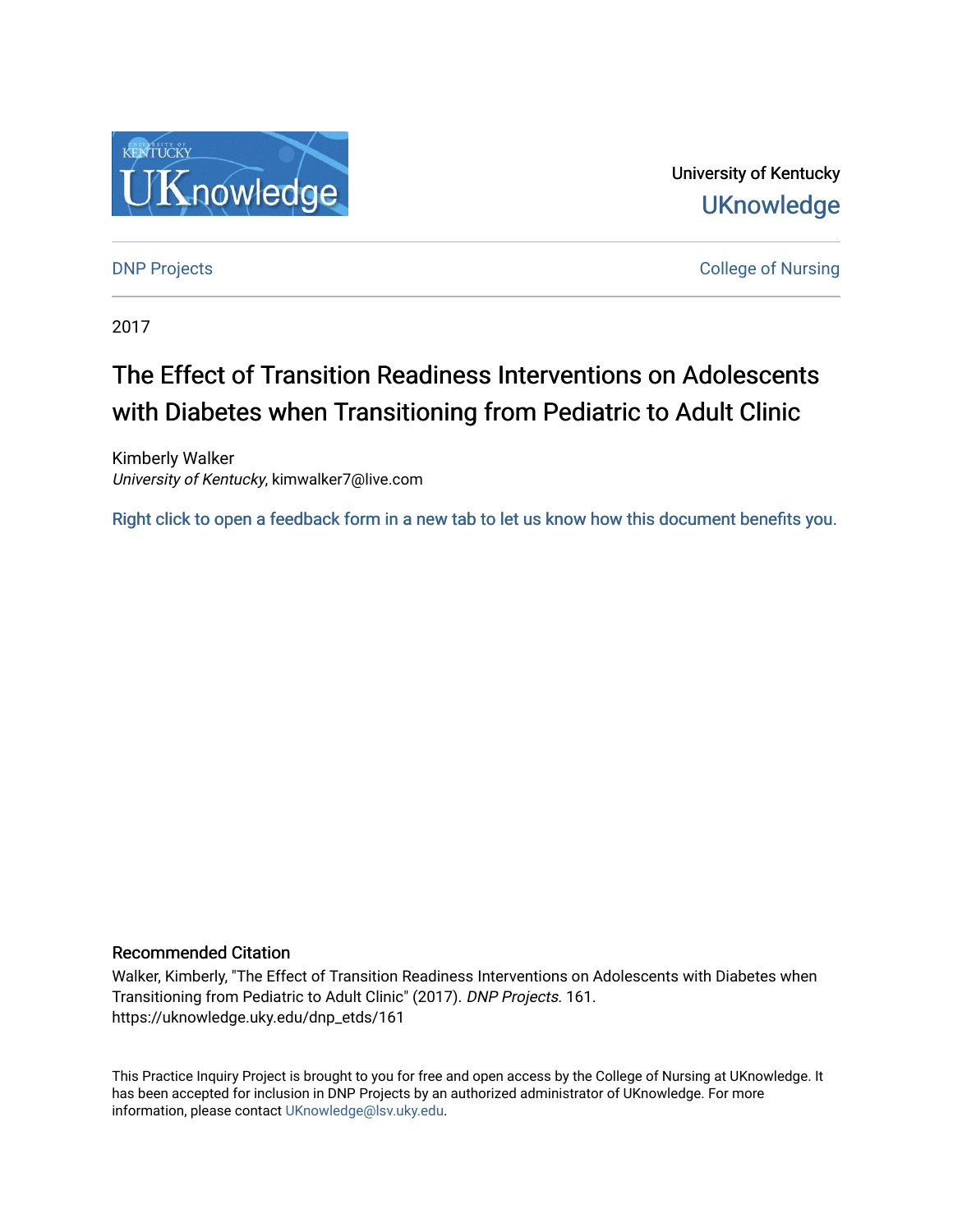

University of Kentucky **UKnowledge** 

[DNP Projects](https://uknowledge.uky.edu/dnp_etds) **College of Nursing** 

2017

# The Effect of Transition Readiness Interventions on Adolescents with Diabetes when Transitioning from Pediatric to Adult Clinic

Kimberly Walker University of Kentucky, kimwalker7@live.com

[Right click to open a feedback form in a new tab to let us know how this document benefits you.](https://uky.az1.qualtrics.com/jfe/form/SV_9mq8fx2GnONRfz7)

#### Recommended Citation

Walker, Kimberly, "The Effect of Transition Readiness Interventions on Adolescents with Diabetes when Transitioning from Pediatric to Adult Clinic" (2017). DNP Projects. 161. https://uknowledge.uky.edu/dnp\_etds/161

This Practice Inquiry Project is brought to you for free and open access by the College of Nursing at UKnowledge. It has been accepted for inclusion in DNP Projects by an authorized administrator of UKnowledge. For more information, please contact [UKnowledge@lsv.uky.edu](mailto:UKnowledge@lsv.uky.edu).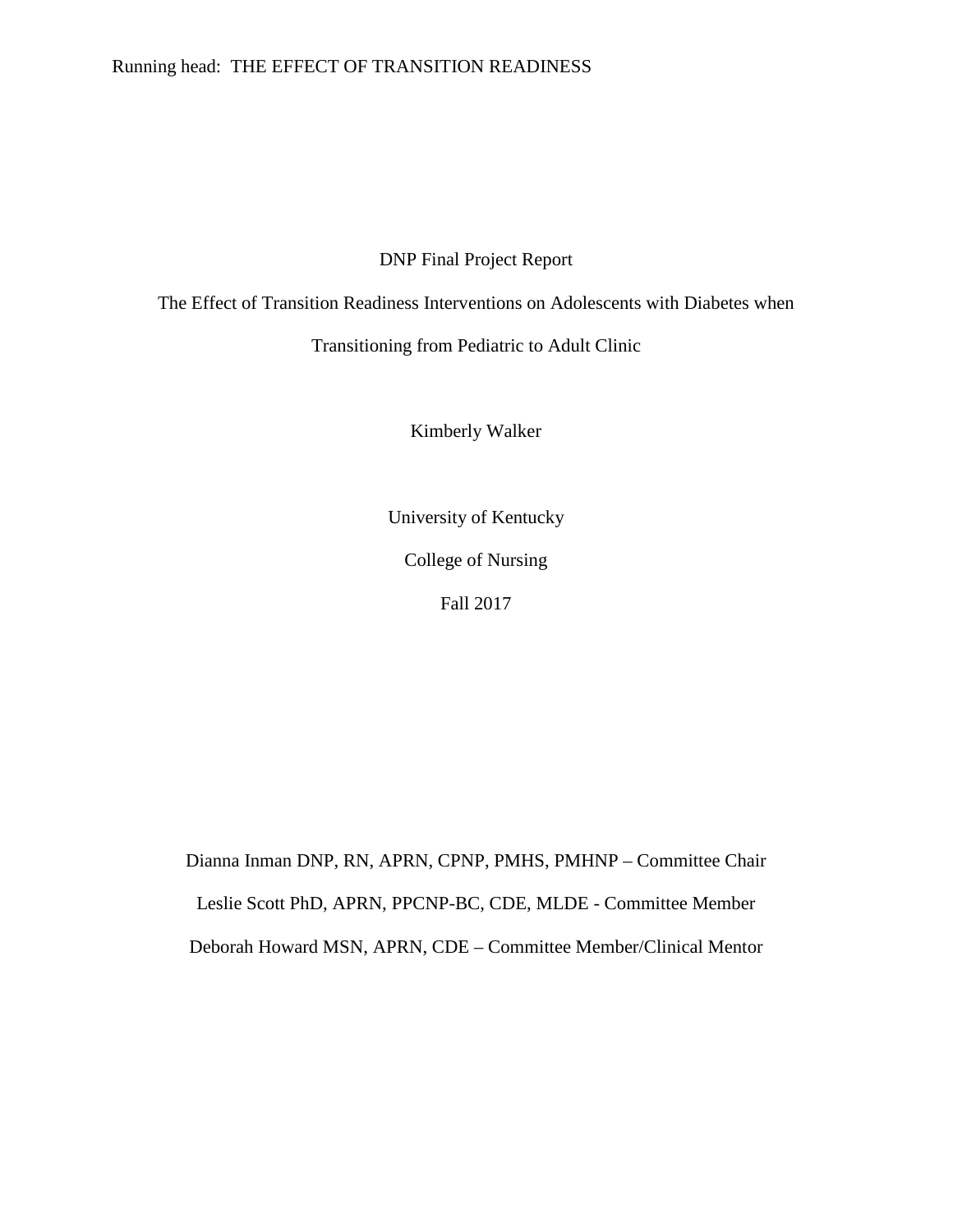#### Running head: THE EFFECT OF TRANSITION READINESS

## DNP Final Project Report

The Effect of Transition Readiness Interventions on Adolescents with Diabetes when

Transitioning from Pediatric to Adult Clinic

Kimberly Walker

University of Kentucky

College of Nursing

Fall 2017

Dianna Inman DNP, RN, APRN, CPNP, PMHS, PMHNP – Committee Chair Leslie Scott PhD, APRN, PPCNP-BC, CDE, MLDE - Committee Member Deborah Howard MSN, APRN, CDE – Committee Member/Clinical Mentor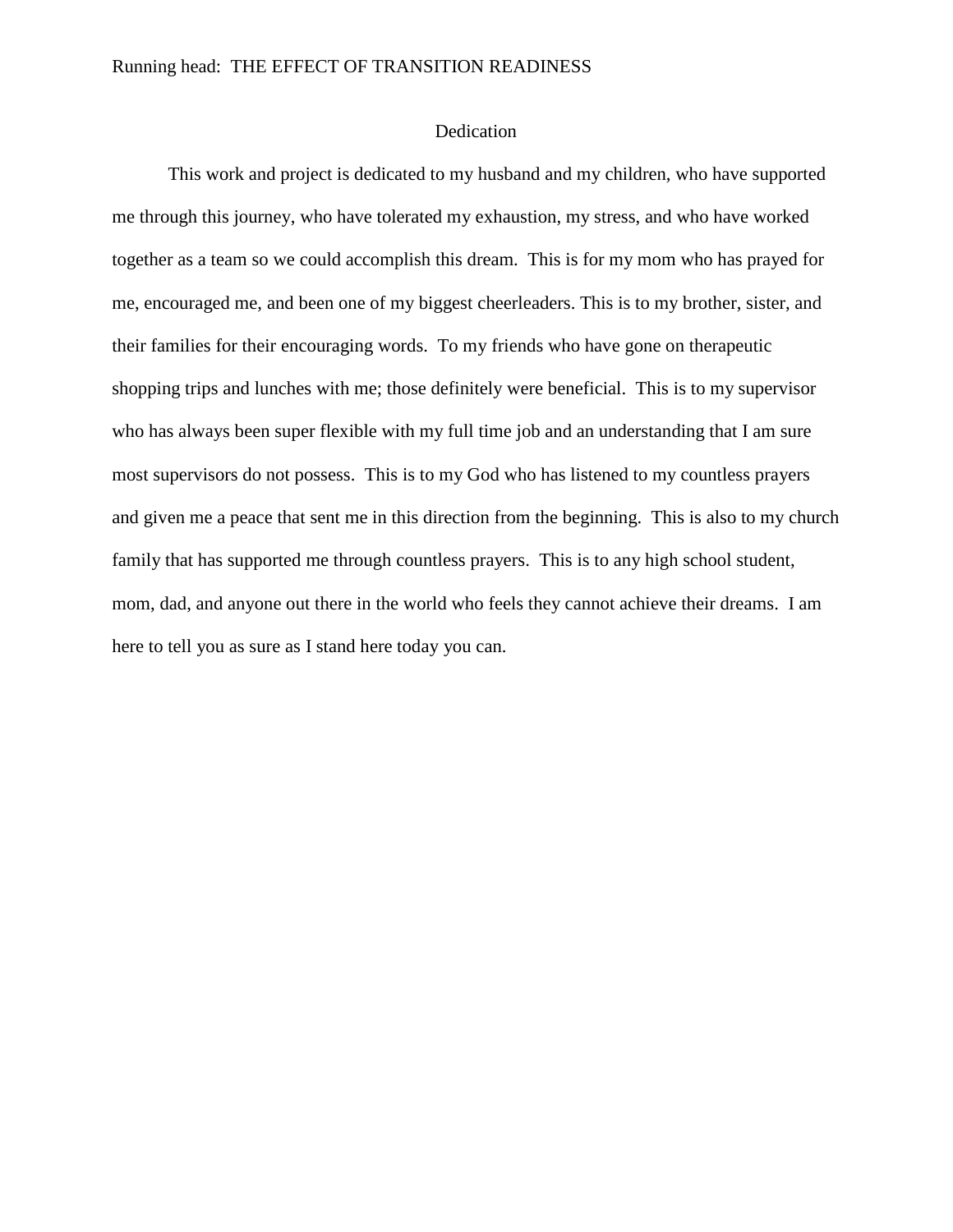#### Dedication

This work and project is dedicated to my husband and my children, who have supported me through this journey, who have tolerated my exhaustion, my stress, and who have worked together as a team so we could accomplish this dream. This is for my mom who has prayed for me, encouraged me, and been one of my biggest cheerleaders. This is to my brother, sister, and their families for their encouraging words. To my friends who have gone on therapeutic shopping trips and lunches with me; those definitely were beneficial. This is to my supervisor who has always been super flexible with my full time job and an understanding that I am sure most supervisors do not possess. This is to my God who has listened to my countless prayers and given me a peace that sent me in this direction from the beginning. This is also to my church family that has supported me through countless prayers. This is to any high school student, mom, dad, and anyone out there in the world who feels they cannot achieve their dreams. I am here to tell you as sure as I stand here today you can.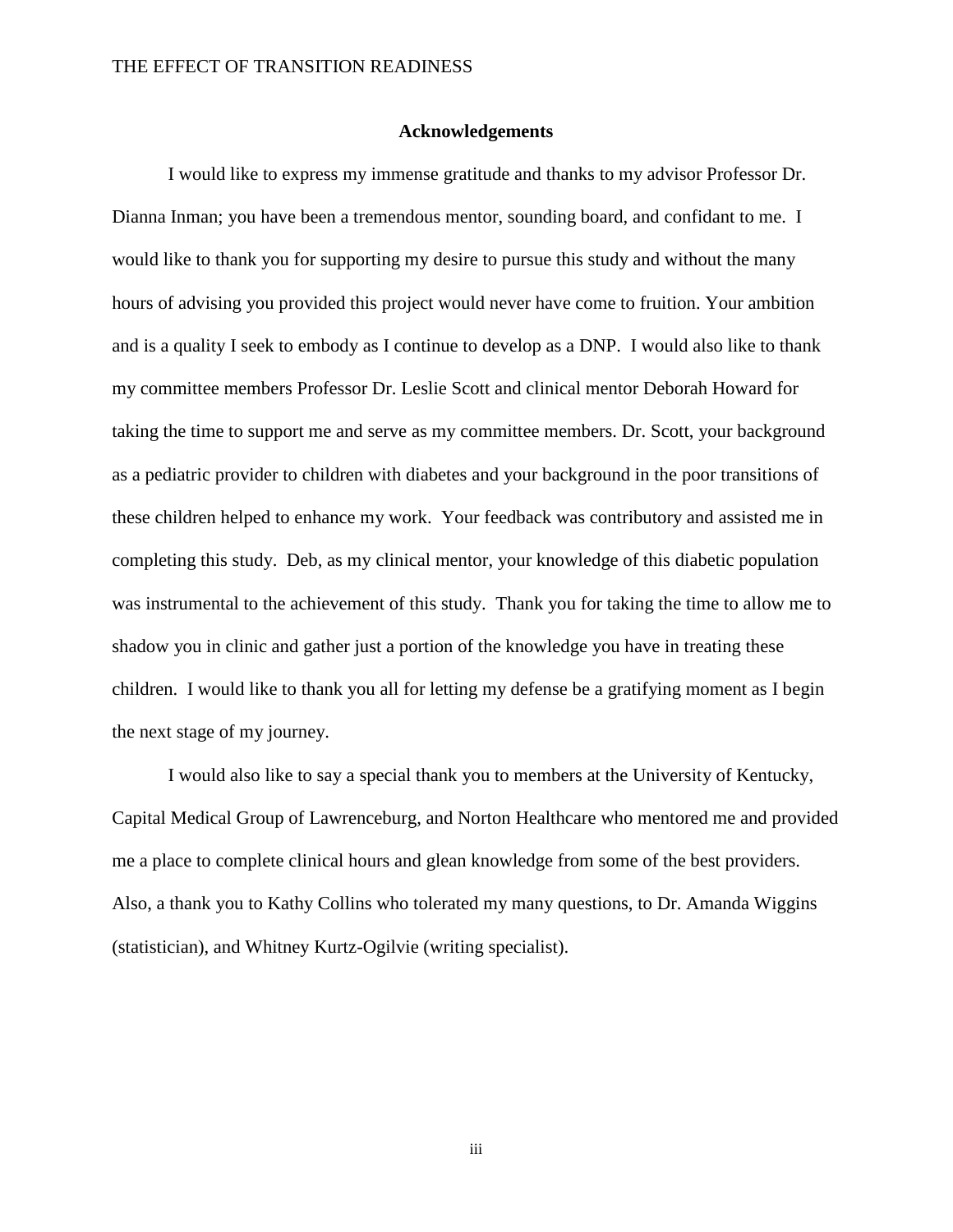#### **Acknowledgements**

<span id="page-3-0"></span>I would like to express my immense gratitude and thanks to my advisor Professor Dr. Dianna Inman; you have been a tremendous mentor, sounding board, and confidant to me. I would like to thank you for supporting my desire to pursue this study and without the many hours of advising you provided this project would never have come to fruition. Your ambition and is a quality I seek to embody as I continue to develop as a DNP. I would also like to thank my committee members Professor Dr. Leslie Scott and clinical mentor Deborah Howard for taking the time to support me and serve as my committee members. Dr. Scott, your background as a pediatric provider to children with diabetes and your background in the poor transitions of these children helped to enhance my work. Your feedback was contributory and assisted me in completing this study. Deb, as my clinical mentor, your knowledge of this diabetic population was instrumental to the achievement of this study. Thank you for taking the time to allow me to shadow you in clinic and gather just a portion of the knowledge you have in treating these children. I would like to thank you all for letting my defense be a gratifying moment as I begin the next stage of my journey.

I would also like to say a special thank you to members at the University of Kentucky, Capital Medical Group of Lawrenceburg, and Norton Healthcare who mentored me and provided me a place to complete clinical hours and glean knowledge from some of the best providers. Also, a thank you to Kathy Collins who tolerated my many questions, to Dr. Amanda Wiggins (statistician), and Whitney Kurtz-Ogilvie (writing specialist).

iii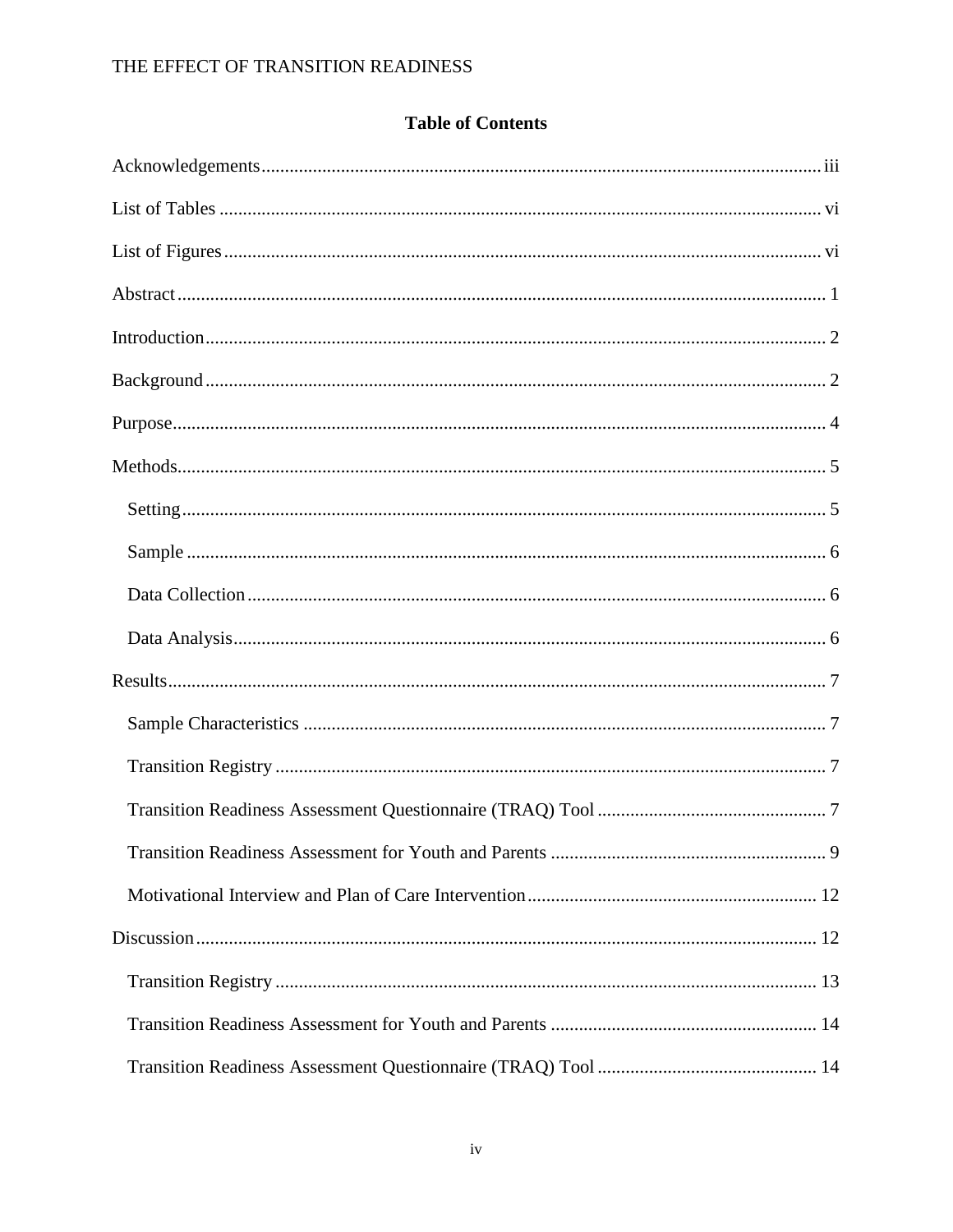# **Table of Contents**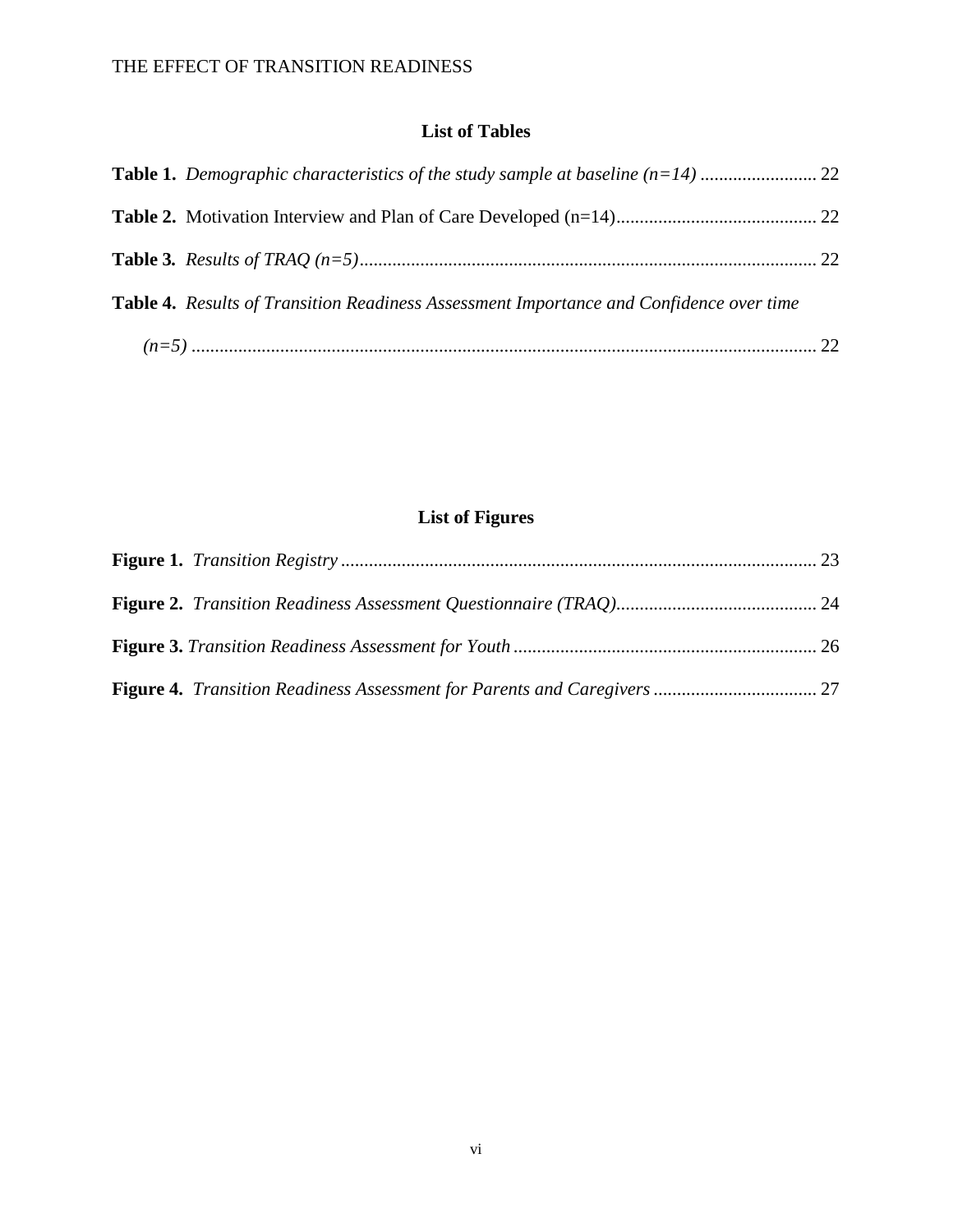# **List of Tables**

<span id="page-6-0"></span>

| Table 4. Results of Transition Readiness Assessment Importance and Confidence over time |  |
|-----------------------------------------------------------------------------------------|--|
|                                                                                         |  |

# **List of Figures**

<span id="page-6-1"></span>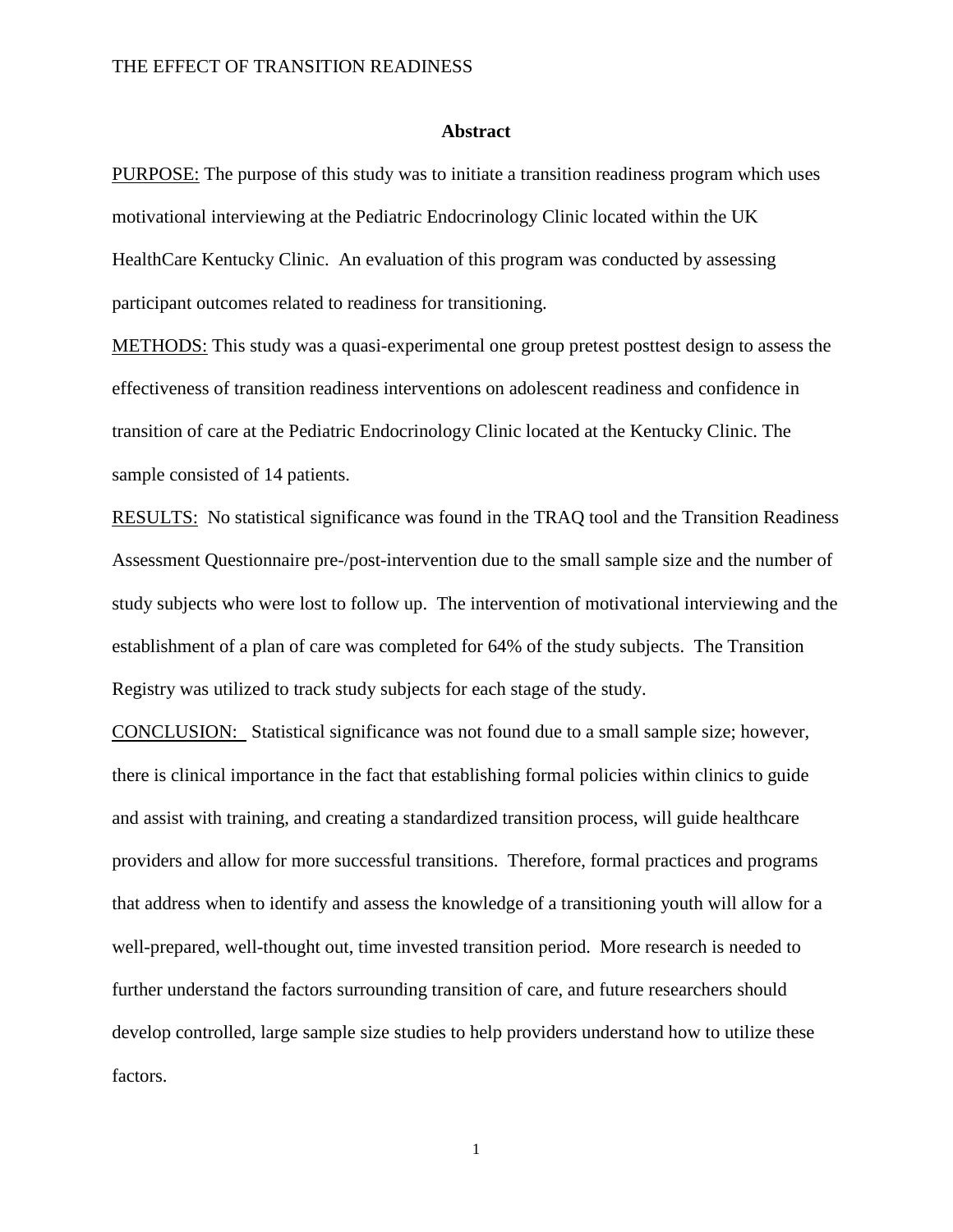#### **Abstract**

<span id="page-7-0"></span>PURPOSE: The purpose of this study was to initiate a transition readiness program which uses motivational interviewing at the Pediatric Endocrinology Clinic located within the UK HealthCare Kentucky Clinic. An evaluation of this program was conducted by assessing participant outcomes related to readiness for transitioning.

METHODS: This study was a quasi-experimental one group pretest posttest design to assess the effectiveness of transition readiness interventions on adolescent readiness and confidence in transition of care at the Pediatric Endocrinology Clinic located at the Kentucky Clinic. The sample consisted of 14 patients.

RESULTS: No statistical significance was found in the TRAQ tool and the Transition Readiness Assessment Questionnaire pre-/post-intervention due to the small sample size and the number of study subjects who were lost to follow up. The intervention of motivational interviewing and the establishment of a plan of care was completed for 64% of the study subjects. The Transition Registry was utilized to track study subjects for each stage of the study.

CONCLUSION: Statistical significance was not found due to a small sample size; however, there is clinical importance in the fact that establishing formal policies within clinics to guide and assist with training, and creating a standardized transition process, will guide healthcare providers and allow for more successful transitions. Therefore, formal practices and programs that address when to identify and assess the knowledge of a transitioning youth will allow for a well-prepared, well-thought out, time invested transition period. More research is needed to further understand the factors surrounding transition of care, and future researchers should develop controlled, large sample size studies to help providers understand how to utilize these factors.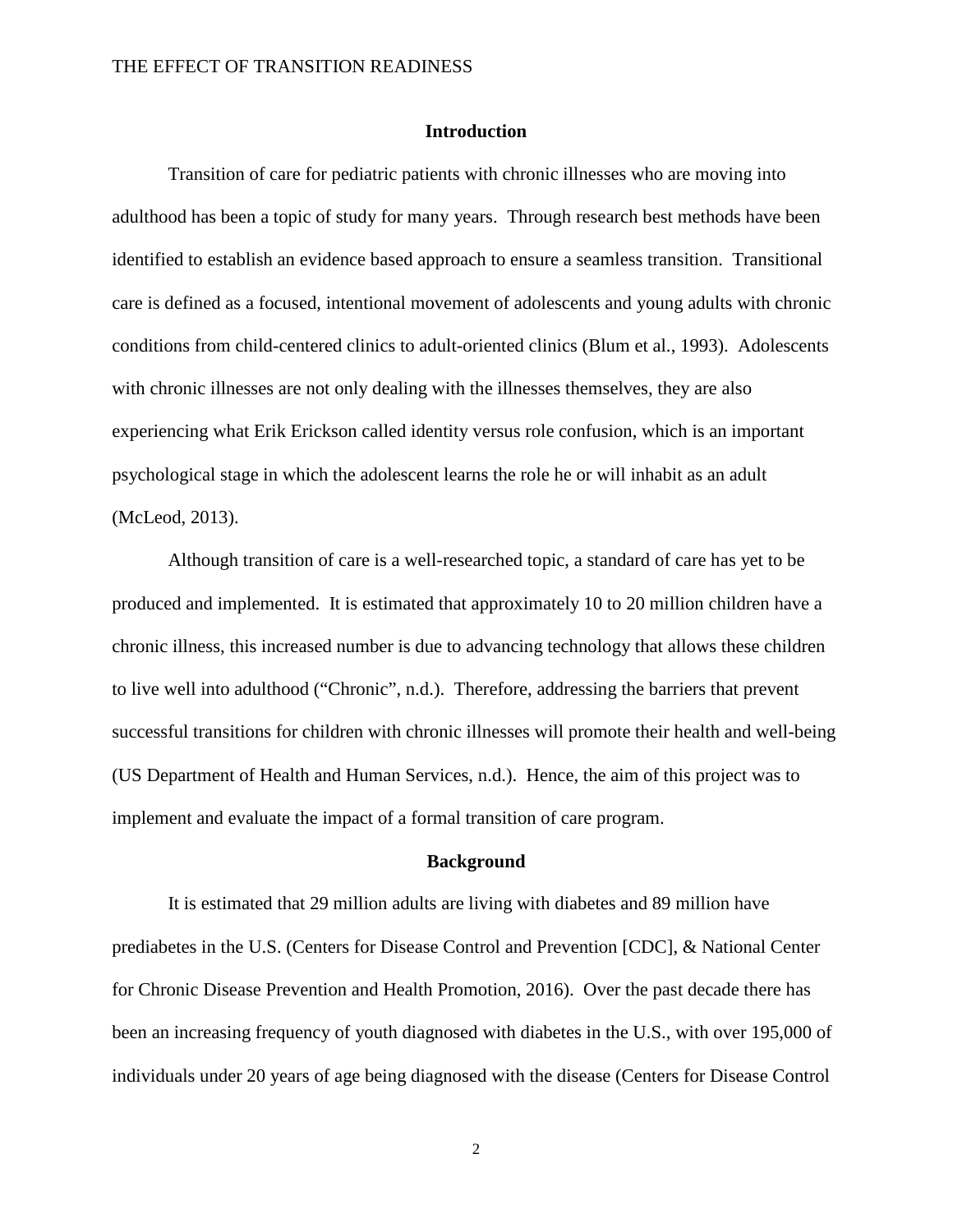#### **Introduction**

<span id="page-8-0"></span>Transition of care for pediatric patients with chronic illnesses who are moving into adulthood has been a topic of study for many years. Through research best methods have been identified to establish an evidence based approach to ensure a seamless transition. Transitional care is defined as a focused, intentional movement of adolescents and young adults with chronic conditions from child-centered clinics to adult-oriented clinics (Blum et al., 1993). Adolescents with chronic illnesses are not only dealing with the illnesses themselves, they are also experiencing what Erik Erickson called identity versus role confusion, which is an important psychological stage in which the adolescent learns the role he or will inhabit as an adult (McLeod, 2013).

Although transition of care is a well-researched topic, a standard of care has yet to be produced and implemented. It is estimated that approximately 10 to 20 million children have a chronic illness, this increased number is due to advancing technology that allows these children to live well into adulthood ("Chronic", n.d.). Therefore, addressing the barriers that prevent successful transitions for children with chronic illnesses will promote their health and well-being (US Department of Health and Human Services, n.d.). Hence, the aim of this project was to implement and evaluate the impact of a formal transition of care program.

#### **Background**

<span id="page-8-1"></span>It is estimated that 29 million adults are living with diabetes and 89 million have prediabetes in the U.S. (Centers for Disease Control and Prevention [CDC], & National Center for Chronic Disease Prevention and Health Promotion, 2016). Over the past decade there has been an increasing frequency of youth diagnosed with diabetes in the U.S., with over 195,000 of individuals under 20 years of age being diagnosed with the disease (Centers for Disease Control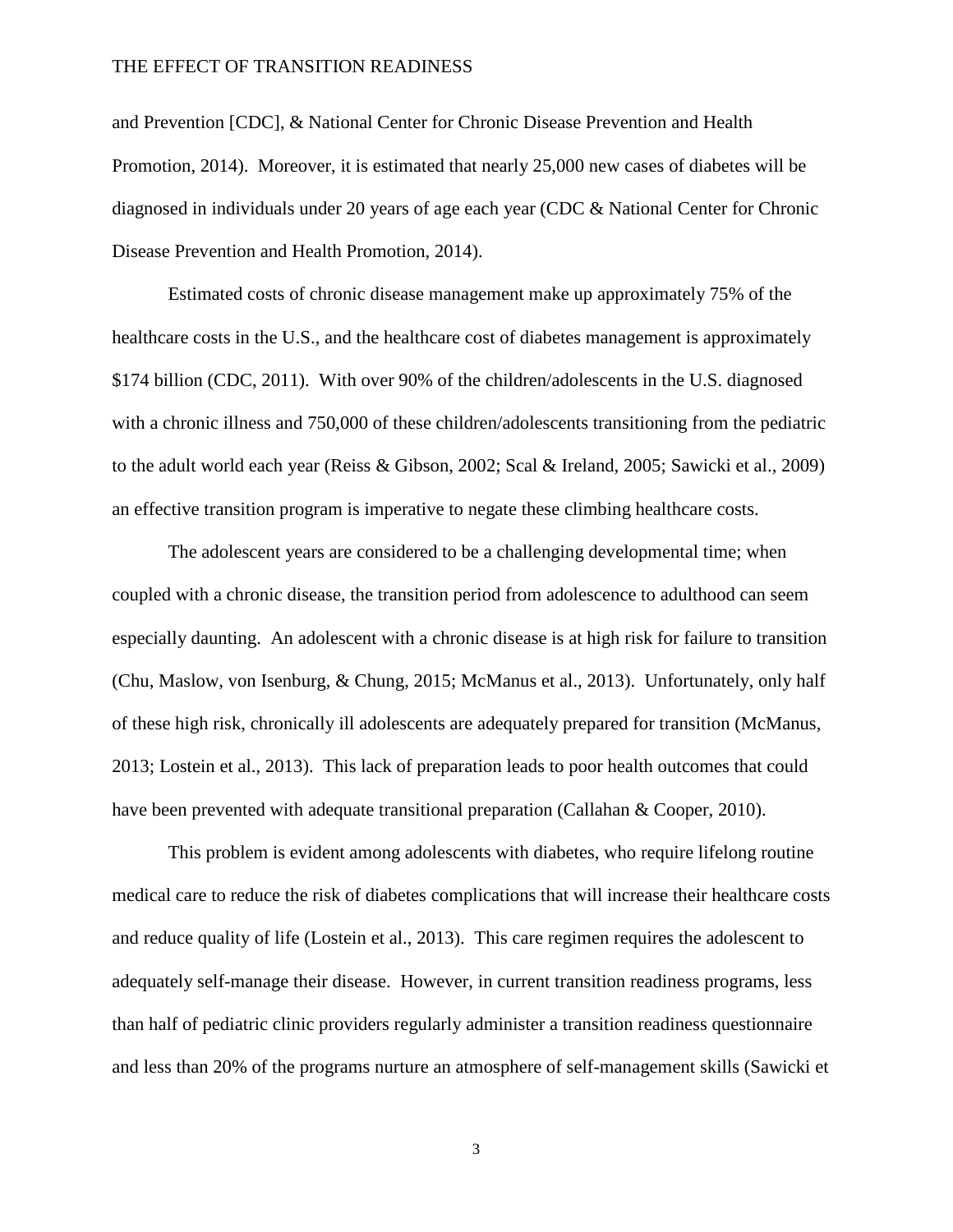and Prevention [CDC], & National Center for Chronic Disease Prevention and Health Promotion, 2014). Moreover, it is estimated that nearly 25,000 new cases of diabetes will be diagnosed in individuals under 20 years of age each year (CDC & National Center for Chronic Disease Prevention and Health Promotion, 2014).

Estimated costs of chronic disease management make up approximately 75% of the healthcare costs in the U.S., and the healthcare cost of diabetes management is approximately \$174 billion (CDC, 2011). With over 90% of the children/adolescents in the U.S. diagnosed with a chronic illness and 750,000 of these children/adolescents transitioning from the pediatric to the adult world each year (Reiss & Gibson, 2002; Scal & Ireland, 2005; Sawicki et al., 2009) an effective transition program is imperative to negate these climbing healthcare costs.

The adolescent years are considered to be a challenging developmental time; when coupled with a chronic disease, the transition period from adolescence to adulthood can seem especially daunting. An adolescent with a chronic disease is at high risk for failure to transition (Chu, Maslow, von Isenburg, & Chung, 2015; McManus et al., 2013). Unfortunately, only half of these high risk, chronically ill adolescents are adequately prepared for transition (McManus, 2013; Lostein et al., 2013). This lack of preparation leads to poor health outcomes that could have been prevented with adequate transitional preparation (Callahan & Cooper, 2010).

This problem is evident among adolescents with diabetes, who require lifelong routine medical care to reduce the risk of diabetes complications that will increase their healthcare costs and reduce quality of life (Lostein et al., 2013). This care regimen requires the adolescent to adequately self-manage their disease. However, in current transition readiness programs, less than half of pediatric clinic providers regularly administer a transition readiness questionnaire and less than 20% of the programs nurture an atmosphere of self-management skills (Sawicki et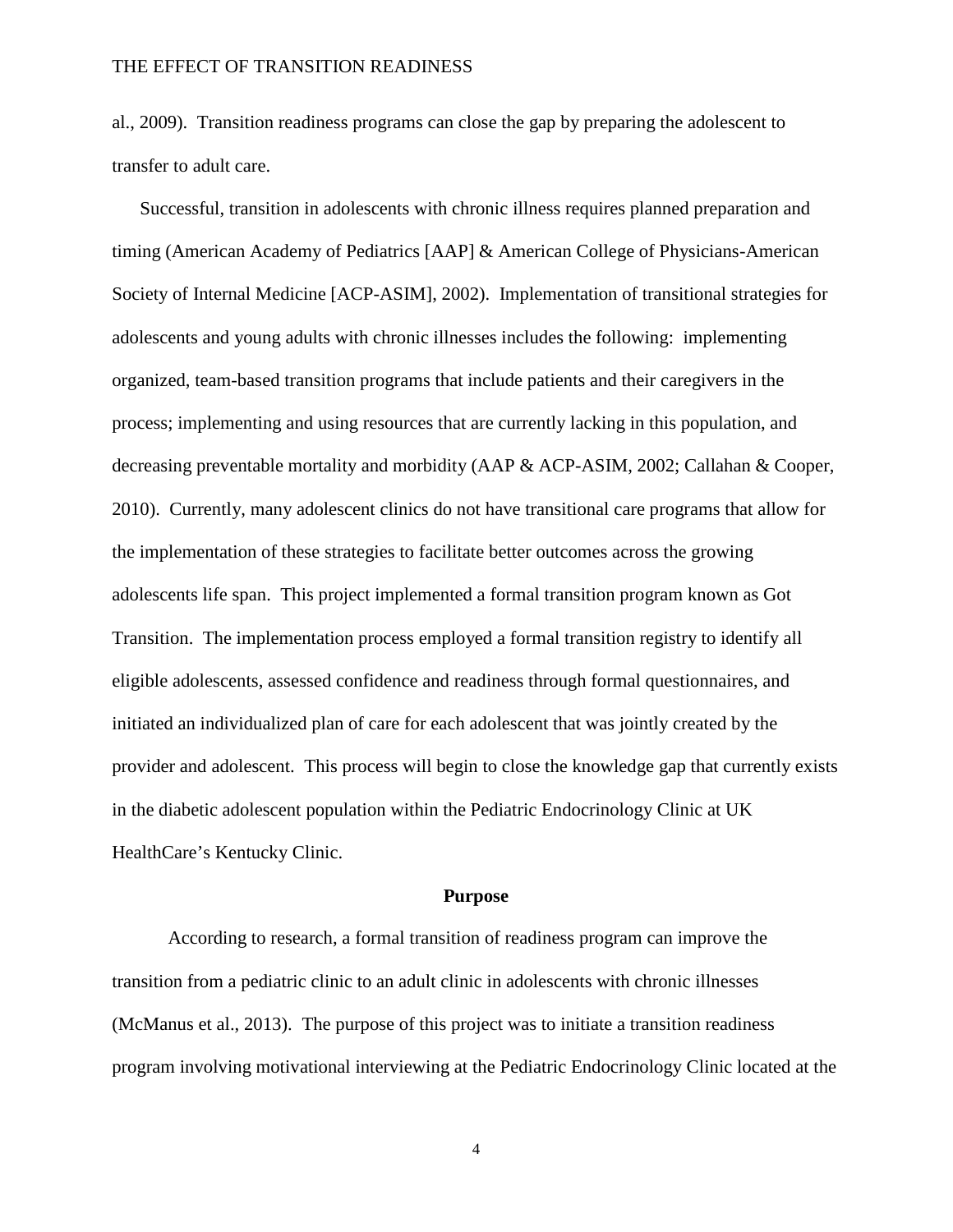al., 2009). Transition readiness programs can close the gap by preparing the adolescent to transfer to adult care.

Successful, transition in adolescents with chronic illness requires planned preparation and timing (American Academy of Pediatrics [AAP] & American College of Physicians-American Society of Internal Medicine [ACP-ASIM], 2002). Implementation of transitional strategies for adolescents and young adults with chronic illnesses includes the following: implementing organized, team-based transition programs that include patients and their caregivers in the process; implementing and using resources that are currently lacking in this population, and decreasing preventable mortality and morbidity (AAP & ACP-ASIM, 2002; Callahan & Cooper, 2010). Currently, many adolescent clinics do not have transitional care programs that allow for the implementation of these strategies to facilitate better outcomes across the growing adolescents life span. This project implemented a formal transition program known as Got Transition. The implementation process employed a formal transition registry to identify all eligible adolescents, assessed confidence and readiness through formal questionnaires, and initiated an individualized plan of care for each adolescent that was jointly created by the provider and adolescent. This process will begin to close the knowledge gap that currently exists in the diabetic adolescent population within the Pediatric Endocrinology Clinic at UK HealthCare's Kentucky Clinic.

#### **Purpose**

<span id="page-10-0"></span>According to research, a formal transition of readiness program can improve the transition from a pediatric clinic to an adult clinic in adolescents with chronic illnesses (McManus et al., 2013). The purpose of this project was to initiate a transition readiness program involving motivational interviewing at the Pediatric Endocrinology Clinic located at the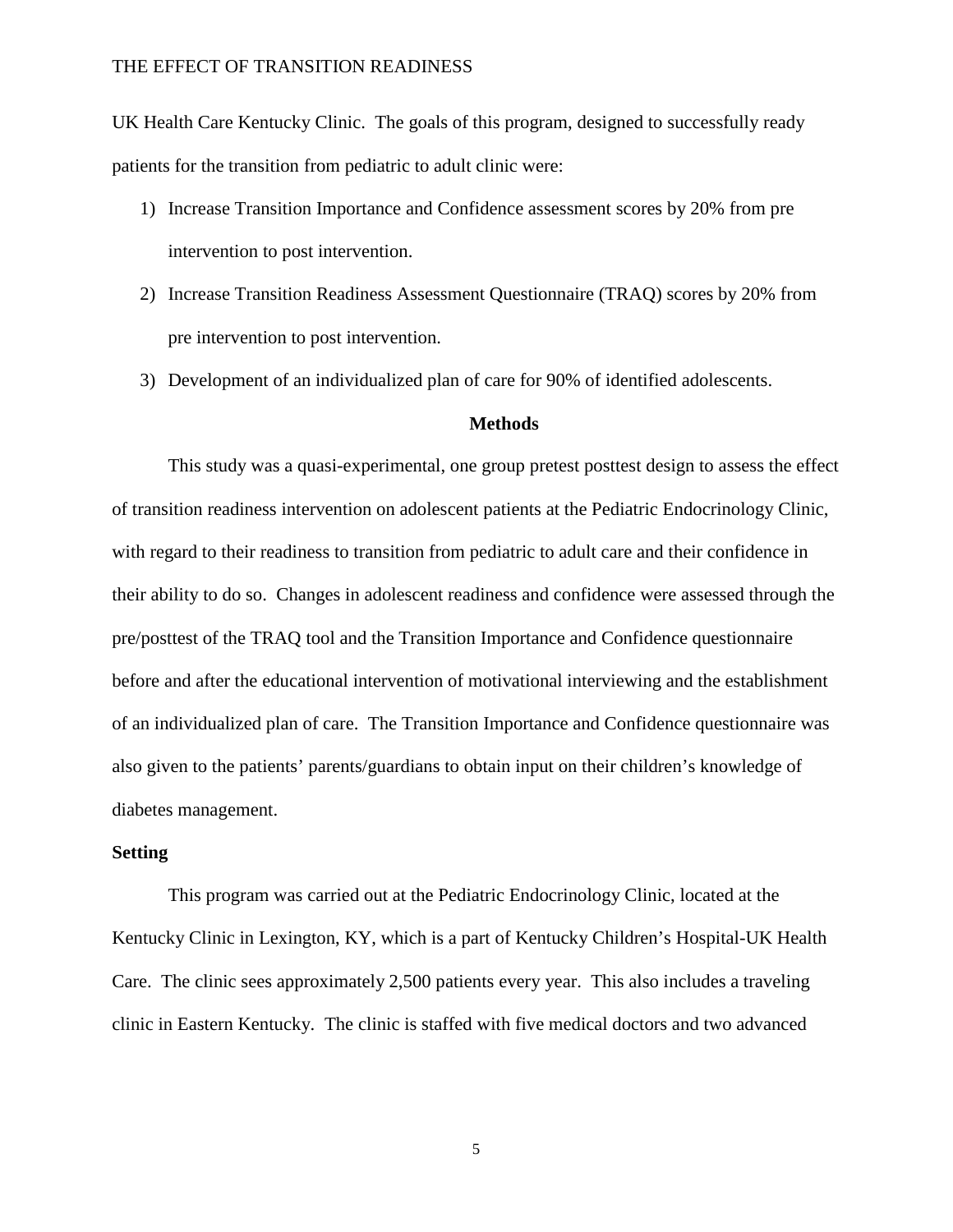UK Health Care Kentucky Clinic. The goals of this program, designed to successfully ready patients for the transition from pediatric to adult clinic were:

- 1) Increase Transition Importance and Confidence assessment scores by 20% from pre intervention to post intervention.
- 2) Increase Transition Readiness Assessment Questionnaire (TRAQ) scores by 20% from pre intervention to post intervention.
- 3) Development of an individualized plan of care for 90% of identified adolescents.

#### **Methods**

<span id="page-11-0"></span>This study was a quasi-experimental, one group pretest posttest design to assess the effect of transition readiness intervention on adolescent patients at the Pediatric Endocrinology Clinic, with regard to their readiness to transition from pediatric to adult care and their confidence in their ability to do so. Changes in adolescent readiness and confidence were assessed through the pre/posttest of the TRAQ tool and the Transition Importance and Confidence questionnaire before and after the educational intervention of motivational interviewing and the establishment of an individualized plan of care. The Transition Importance and Confidence questionnaire was also given to the patients' parents/guardians to obtain input on their children's knowledge of diabetes management.

#### <span id="page-11-1"></span>**Setting**

This program was carried out at the Pediatric Endocrinology Clinic, located at the Kentucky Clinic in Lexington, KY, which is a part of Kentucky Children's Hospital-UK Health Care. The clinic sees approximately 2,500 patients every year. This also includes a traveling clinic in Eastern Kentucky. The clinic is staffed with five medical doctors and two advanced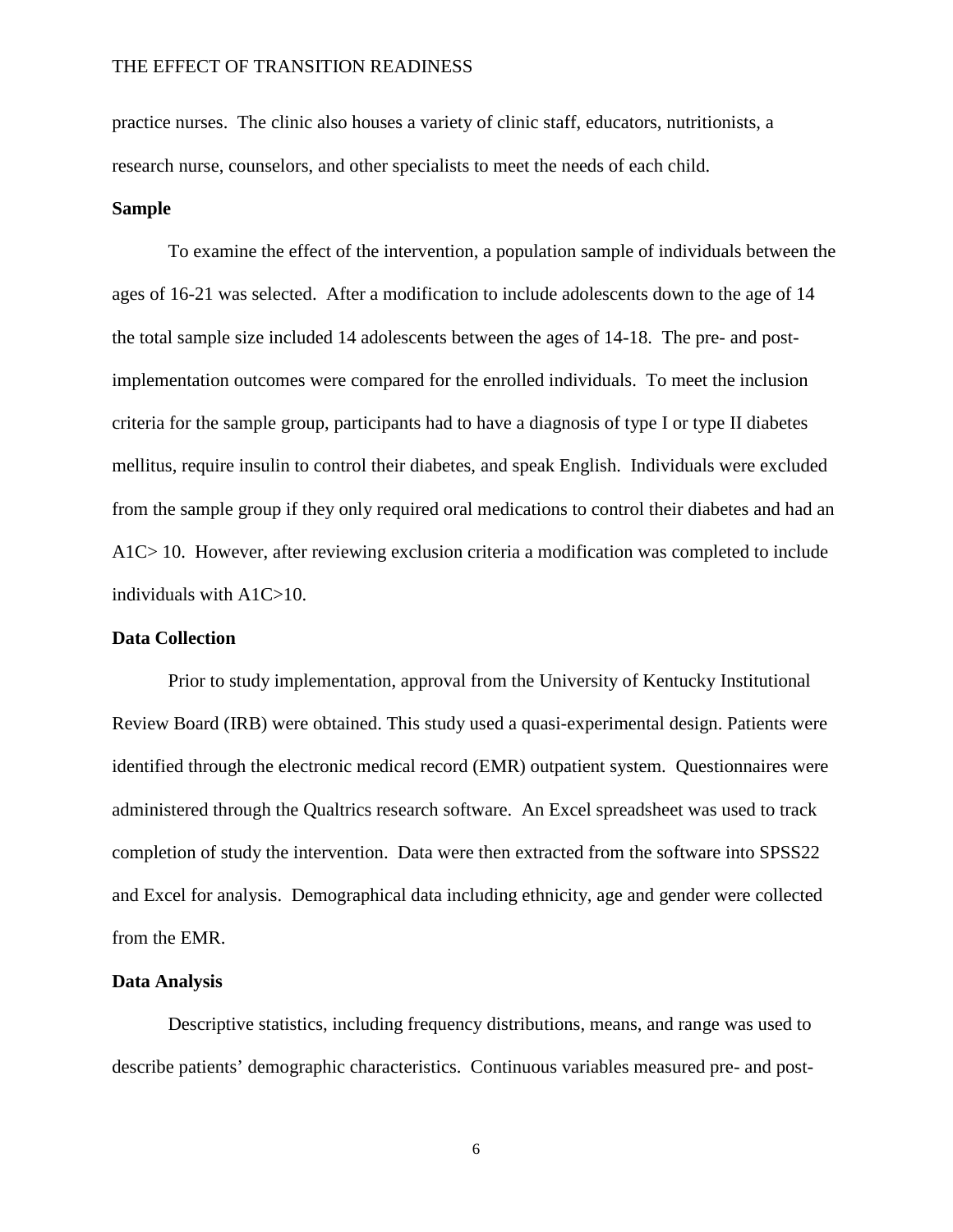practice nurses. The clinic also houses a variety of clinic staff, educators, nutritionists, a research nurse, counselors, and other specialists to meet the needs of each child.

#### <span id="page-12-0"></span>**Sample**

To examine the effect of the intervention, a population sample of individuals between the ages of 16-21 was selected. After a modification to include adolescents down to the age of 14 the total sample size included 14 adolescents between the ages of 14-18. The pre- and postimplementation outcomes were compared for the enrolled individuals. To meet the inclusion criteria for the sample group, participants had to have a diagnosis of type I or type II diabetes mellitus, require insulin to control their diabetes, and speak English. Individuals were excluded from the sample group if they only required oral medications to control their diabetes and had an A1C> 10. However, after reviewing exclusion criteria a modification was completed to include individuals with A1C>10.

#### <span id="page-12-1"></span>**Data Collection**

Prior to study implementation, approval from the University of Kentucky Institutional Review Board (IRB) were obtained. This study used a quasi-experimental design. Patients were identified through the electronic medical record (EMR) outpatient system. Questionnaires were administered through the Qualtrics research software. An Excel spreadsheet was used to track completion of study the intervention. Data were then extracted from the software into SPSS22 and Excel for analysis. Demographical data including ethnicity, age and gender were collected from the EMR.

#### <span id="page-12-2"></span>**Data Analysis**

Descriptive statistics, including frequency distributions, means, and range was used to describe patients' demographic characteristics. Continuous variables measured pre- and post-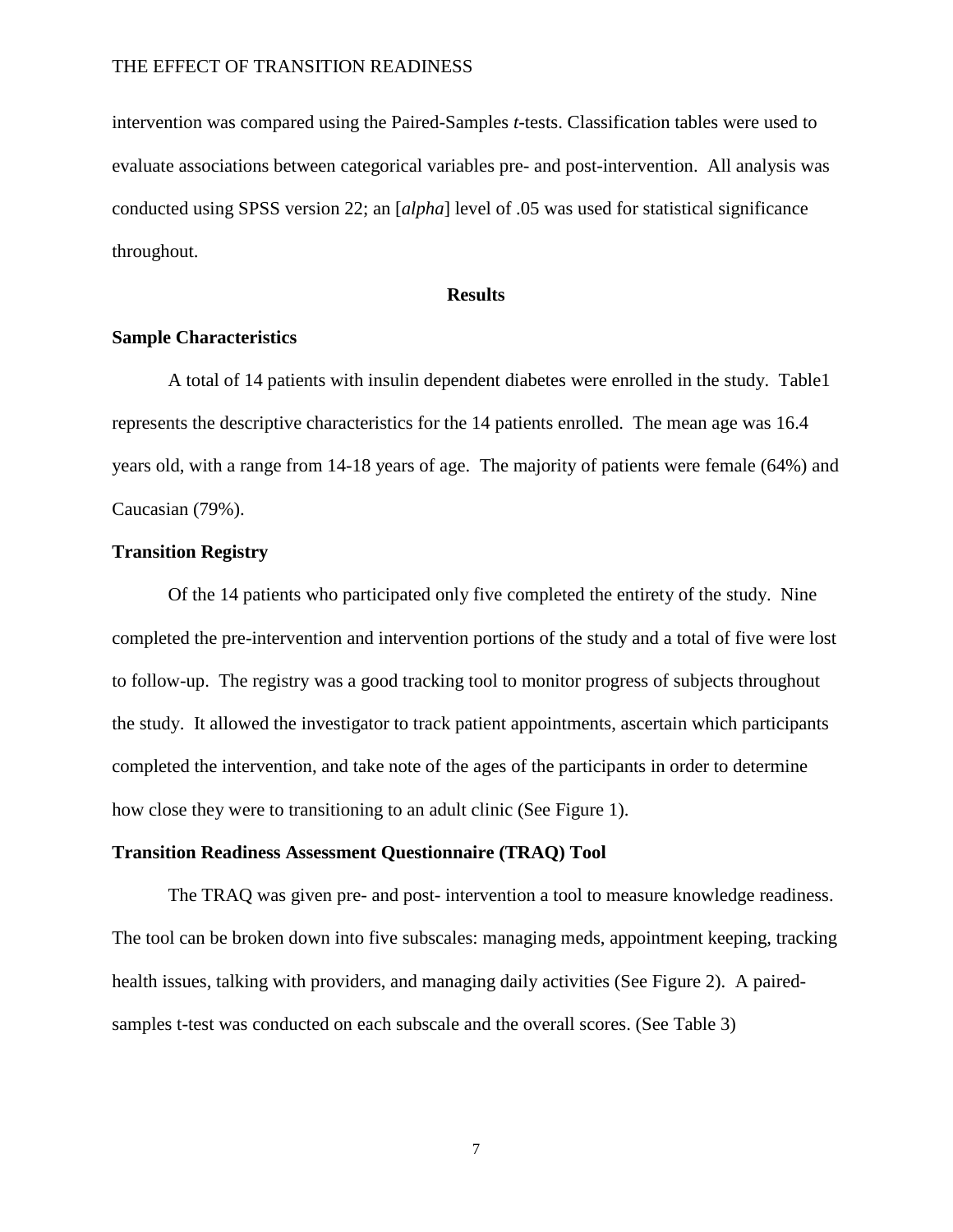intervention was compared using the Paired-Samples *t*-tests. Classification tables were used to evaluate associations between categorical variables pre- and post-intervention. All analysis was conducted using SPSS version 22; an [*alpha*] level of .05 was used for statistical significance throughout.

#### **Results**

#### <span id="page-13-1"></span><span id="page-13-0"></span>**Sample Characteristics**

A total of 14 patients with insulin dependent diabetes were enrolled in the study. Table1 represents the descriptive characteristics for the 14 patients enrolled. The mean age was 16.4 years old, with a range from 14-18 years of age. The majority of patients were female (64%) and Caucasian (79%).

#### <span id="page-13-2"></span>**Transition Registry**

Of the 14 patients who participated only five completed the entirety of the study. Nine completed the pre-intervention and intervention portions of the study and a total of five were lost to follow-up. The registry was a good tracking tool to monitor progress of subjects throughout the study. It allowed the investigator to track patient appointments, ascertain which participants completed the intervention, and take note of the ages of the participants in order to determine how close they were to transitioning to an adult clinic (See Figure 1).

#### <span id="page-13-3"></span>**Transition Readiness Assessment Questionnaire (TRAQ) Tool**

The TRAQ was given pre- and post- intervention a tool to measure knowledge readiness. The tool can be broken down into five subscales: managing meds, appointment keeping, tracking health issues, talking with providers, and managing daily activities (See Figure 2). A pairedsamples t-test was conducted on each subscale and the overall scores. (See Table 3)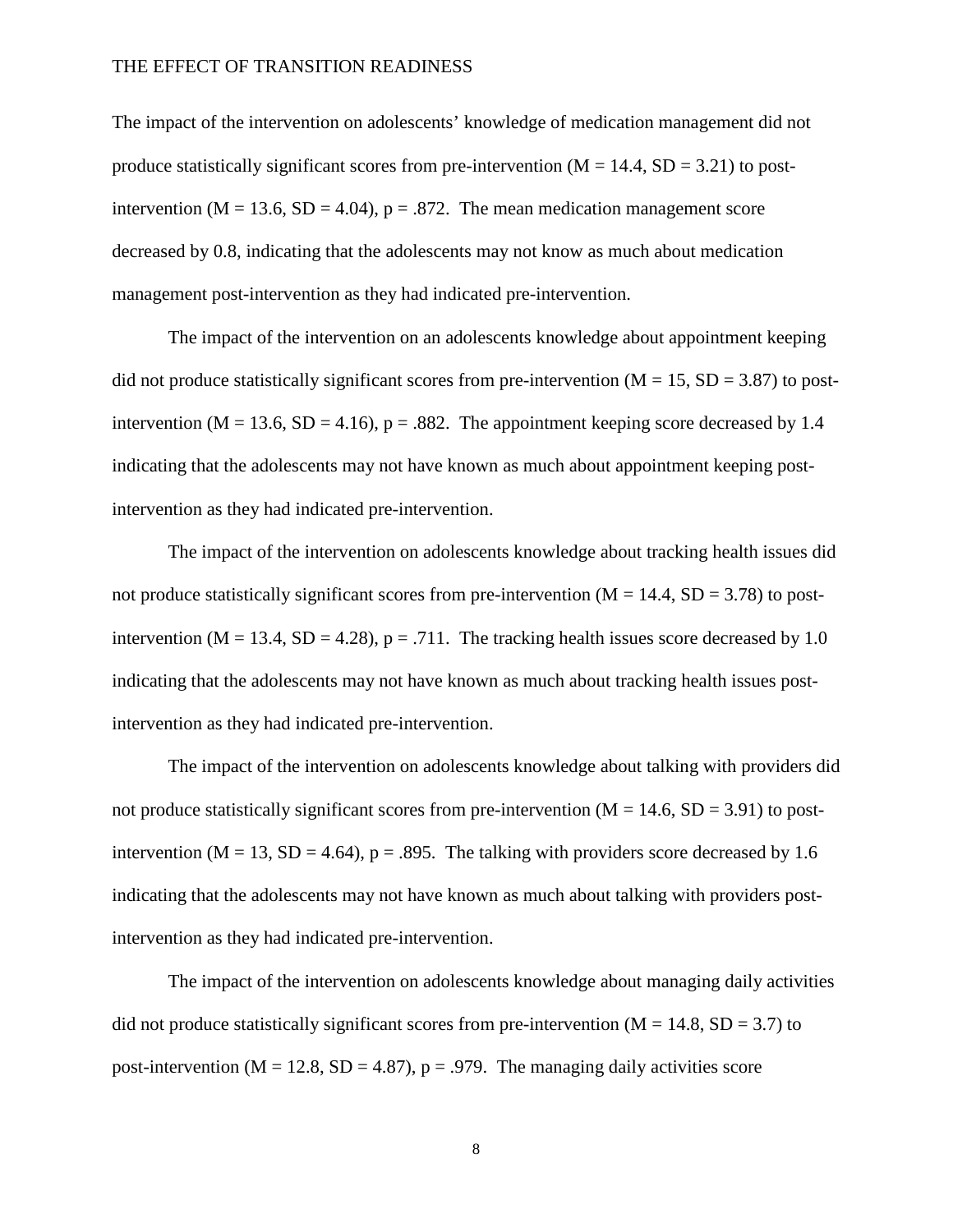The impact of the intervention on adolescents' knowledge of medication management did not produce statistically significant scores from pre-intervention  $(M = 14.4, SD = 3.21)$  to postintervention ( $M = 13.6$ ,  $SD = 4.04$ ),  $p = .872$ . The mean medication management score decreased by 0.8, indicating that the adolescents may not know as much about medication management post-intervention as they had indicated pre-intervention.

The impact of the intervention on an adolescents knowledge about appointment keeping did not produce statistically significant scores from pre-intervention ( $M = 15$ ,  $SD = 3.87$ ) to postintervention ( $M = 13.6$ ,  $SD = 4.16$ ),  $p = .882$ . The appointment keeping score decreased by 1.4 indicating that the adolescents may not have known as much about appointment keeping postintervention as they had indicated pre-intervention.

The impact of the intervention on adolescents knowledge about tracking health issues did not produce statistically significant scores from pre-intervention  $(M = 14.4, SD = 3.78)$  to postintervention ( $M = 13.4$ ,  $SD = 4.28$ ),  $p = .711$ . The tracking health issues score decreased by 1.0 indicating that the adolescents may not have known as much about tracking health issues postintervention as they had indicated pre-intervention.

The impact of the intervention on adolescents knowledge about talking with providers did not produce statistically significant scores from pre-intervention  $(M = 14.6, SD = 3.91)$  to postintervention ( $M = 13$ ,  $SD = 4.64$ ),  $p = .895$ . The talking with providers score decreased by 1.6 indicating that the adolescents may not have known as much about talking with providers postintervention as they had indicated pre-intervention.

The impact of the intervention on adolescents knowledge about managing daily activities did not produce statistically significant scores from pre-intervention ( $M = 14.8$ ,  $SD = 3.7$ ) to post-intervention ( $M = 12.8$ ,  $SD = 4.87$ ),  $p = .979$ . The managing daily activities score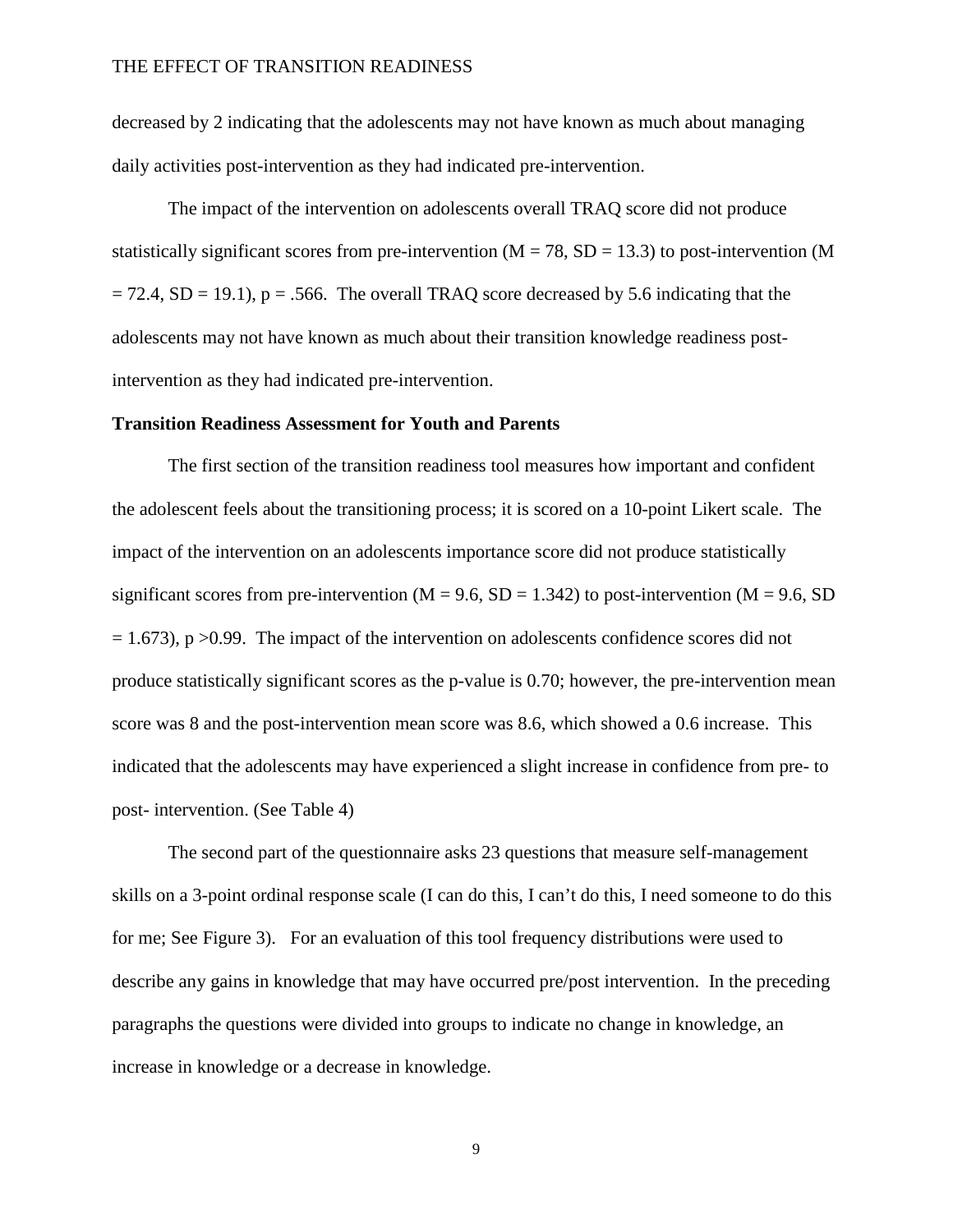decreased by 2 indicating that the adolescents may not have known as much about managing daily activities post-intervention as they had indicated pre-intervention.

The impact of the intervention on adolescents overall TRAQ score did not produce statistically significant scores from pre-intervention ( $M = 78$ ,  $SD = 13.3$ ) to post-intervention (M  $= 72.4$ , SD = 19.1), p = .566. The overall TRAQ score decreased by 5.6 indicating that the adolescents may not have known as much about their transition knowledge readiness postintervention as they had indicated pre-intervention.

#### <span id="page-15-0"></span>**Transition Readiness Assessment for Youth and Parents**

The first section of the transition readiness tool measures how important and confident the adolescent feels about the transitioning process; it is scored on a 10-point Likert scale. The impact of the intervention on an adolescents importance score did not produce statistically significant scores from pre-intervention ( $M = 9.6$ ,  $SD = 1.342$ ) to post-intervention ( $M = 9.6$ , SD  $= 1.673$ , p  $>0.99$ . The impact of the intervention on adolescents confidence scores did not produce statistically significant scores as the p-value is 0.70; however, the pre-intervention mean score was 8 and the post-intervention mean score was 8.6, which showed a 0.6 increase. This indicated that the adolescents may have experienced a slight increase in confidence from pre- to post- intervention. (See Table 4)

The second part of the questionnaire asks 23 questions that measure self-management skills on a 3-point ordinal response scale (I can do this, I can't do this, I need someone to do this for me; See Figure 3). For an evaluation of this tool frequency distributions were used to describe any gains in knowledge that may have occurred pre/post intervention. In the preceding paragraphs the questions were divided into groups to indicate no change in knowledge, an increase in knowledge or a decrease in knowledge.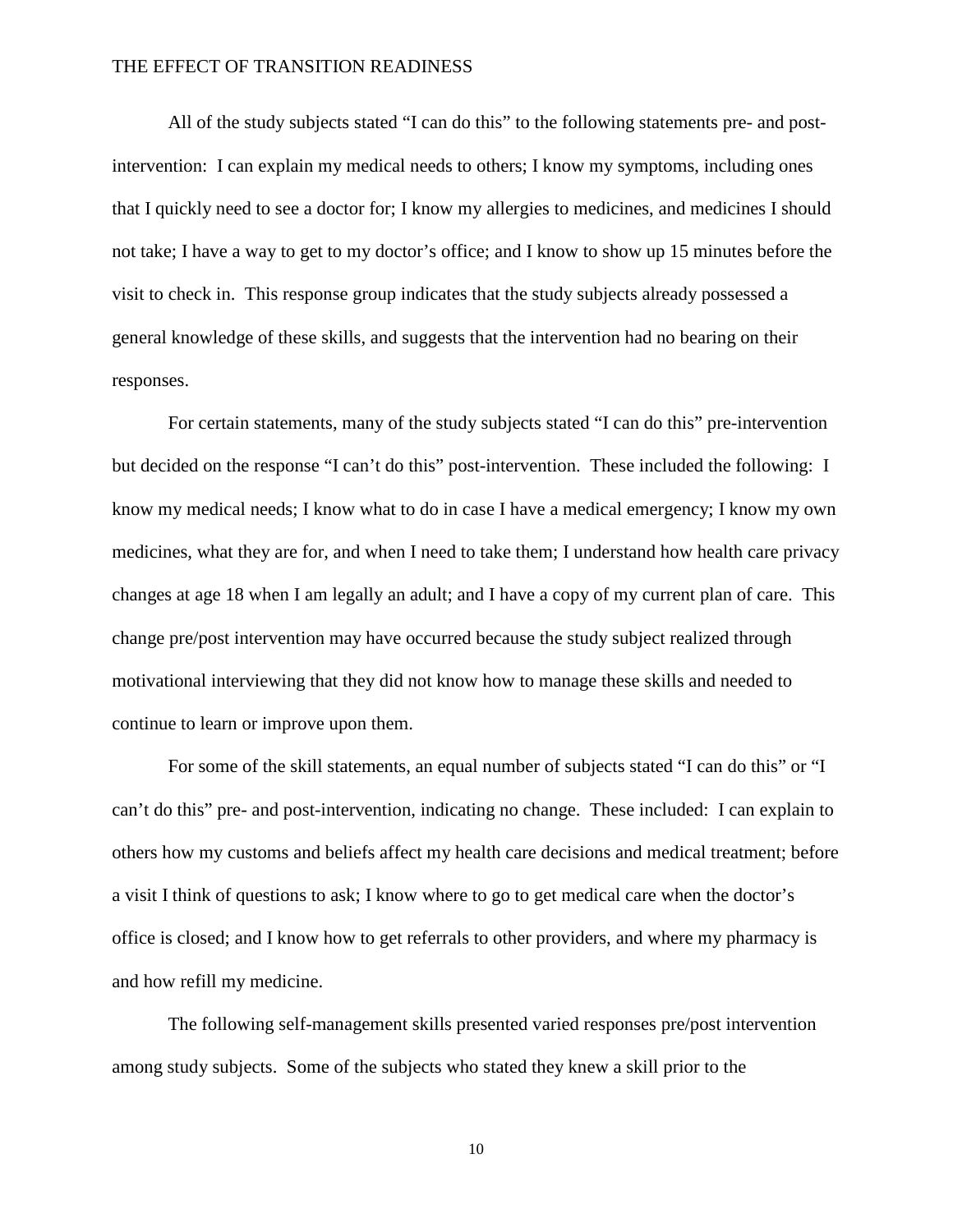All of the study subjects stated "I can do this" to the following statements pre- and postintervention: I can explain my medical needs to others; I know my symptoms, including ones that I quickly need to see a doctor for; I know my allergies to medicines, and medicines I should not take; I have a way to get to my doctor's office; and I know to show up 15 minutes before the visit to check in. This response group indicates that the study subjects already possessed a general knowledge of these skills, and suggests that the intervention had no bearing on their responses.

For certain statements, many of the study subjects stated "I can do this" pre-intervention but decided on the response "I can't do this" post-intervention. These included the following: I know my medical needs; I know what to do in case I have a medical emergency; I know my own medicines, what they are for, and when I need to take them; I understand how health care privacy changes at age 18 when I am legally an adult; and I have a copy of my current plan of care. This change pre/post intervention may have occurred because the study subject realized through motivational interviewing that they did not know how to manage these skills and needed to continue to learn or improve upon them.

For some of the skill statements, an equal number of subjects stated "I can do this" or "I can't do this" pre- and post-intervention, indicating no change. These included: I can explain to others how my customs and beliefs affect my health care decisions and medical treatment; before a visit I think of questions to ask; I know where to go to get medical care when the doctor's office is closed; and I know how to get referrals to other providers, and where my pharmacy is and how refill my medicine.

The following self-management skills presented varied responses pre/post intervention among study subjects. Some of the subjects who stated they knew a skill prior to the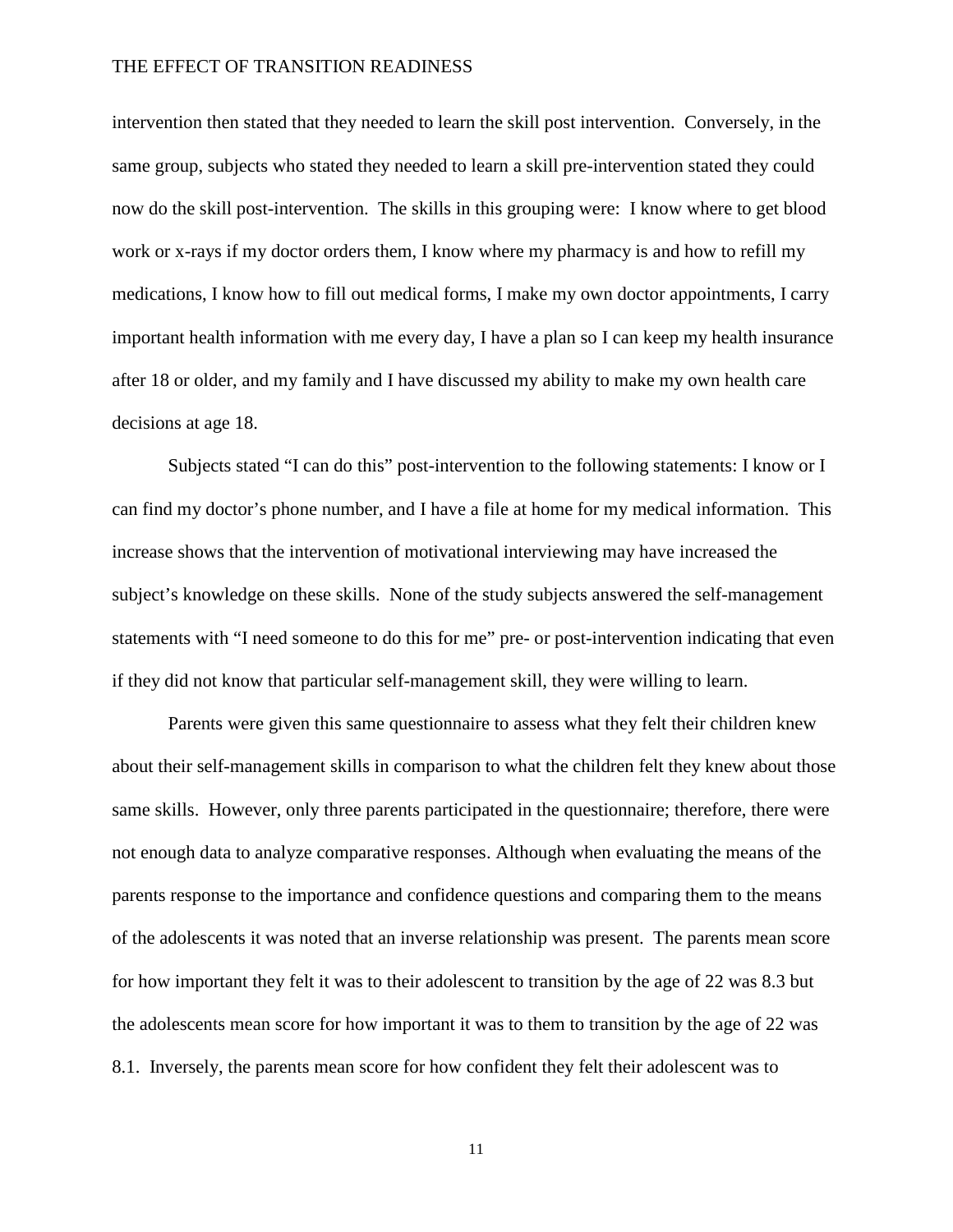intervention then stated that they needed to learn the skill post intervention. Conversely, in the same group, subjects who stated they needed to learn a skill pre-intervention stated they could now do the skill post-intervention. The skills in this grouping were: I know where to get blood work or x-rays if my doctor orders them, I know where my pharmacy is and how to refill my medications, I know how to fill out medical forms, I make my own doctor appointments, I carry important health information with me every day, I have a plan so I can keep my health insurance after 18 or older, and my family and I have discussed my ability to make my own health care decisions at age 18.

Subjects stated "I can do this" post-intervention to the following statements: I know or I can find my doctor's phone number, and I have a file at home for my medical information. This increase shows that the intervention of motivational interviewing may have increased the subject's knowledge on these skills. None of the study subjects answered the self-management statements with "I need someone to do this for me" pre- or post-intervention indicating that even if they did not know that particular self-management skill, they were willing to learn.

Parents were given this same questionnaire to assess what they felt their children knew about their self-management skills in comparison to what the children felt they knew about those same skills. However, only three parents participated in the questionnaire; therefore, there were not enough data to analyze comparative responses. Although when evaluating the means of the parents response to the importance and confidence questions and comparing them to the means of the adolescents it was noted that an inverse relationship was present. The parents mean score for how important they felt it was to their adolescent to transition by the age of 22 was 8.3 but the adolescents mean score for how important it was to them to transition by the age of 22 was 8.1. Inversely, the parents mean score for how confident they felt their adolescent was to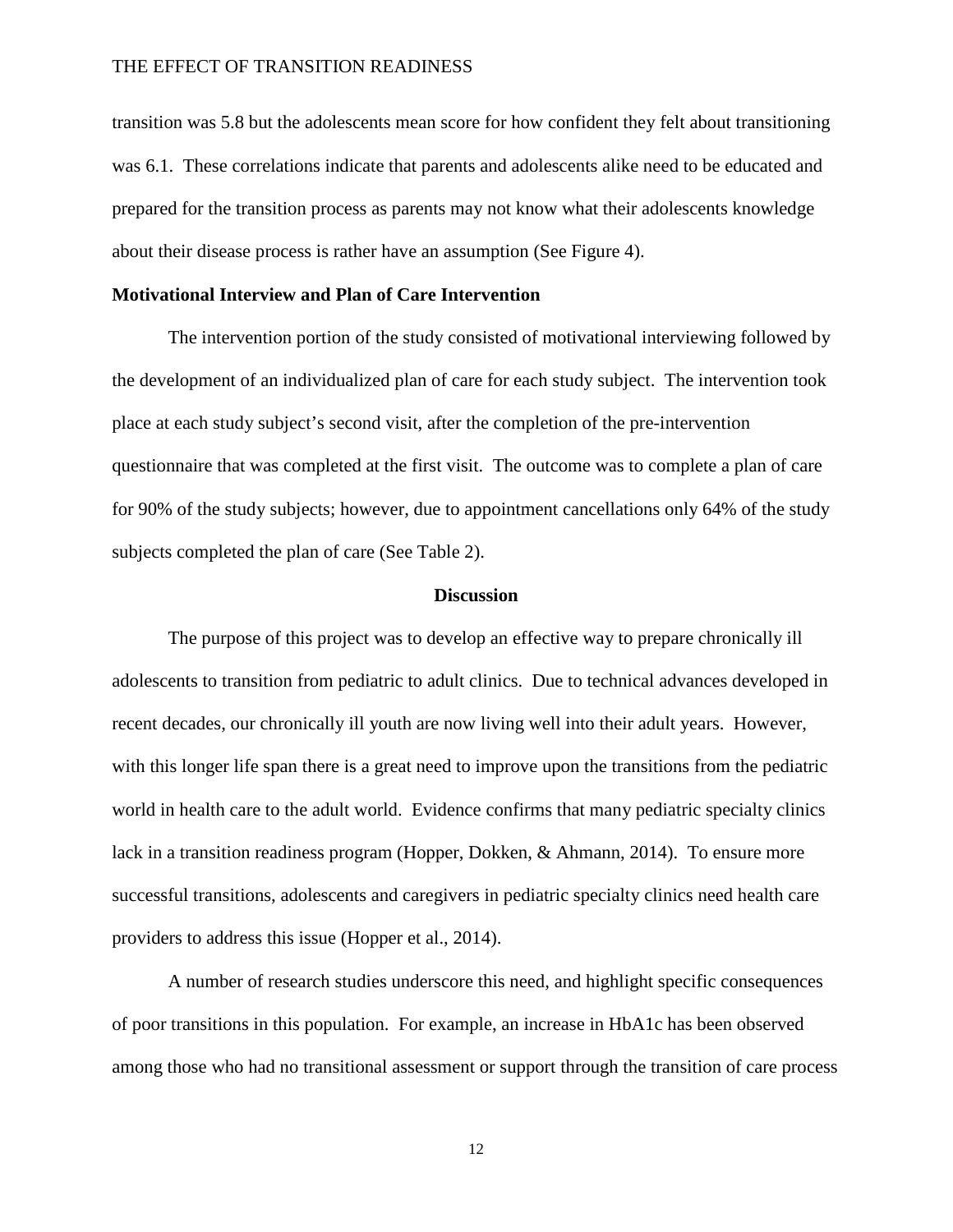transition was 5.8 but the adolescents mean score for how confident they felt about transitioning was 6.1. These correlations indicate that parents and adolescents alike need to be educated and prepared for the transition process as parents may not know what their adolescents knowledge about their disease process is rather have an assumption (See Figure 4).

#### <span id="page-18-0"></span>**Motivational Interview and Plan of Care Intervention**

The intervention portion of the study consisted of motivational interviewing followed by the development of an individualized plan of care for each study subject. The intervention took place at each study subject's second visit, after the completion of the pre-intervention questionnaire that was completed at the first visit. The outcome was to complete a plan of care for 90% of the study subjects; however, due to appointment cancellations only 64% of the study subjects completed the plan of care (See Table 2).

#### **Discussion**

<span id="page-18-1"></span>The purpose of this project was to develop an effective way to prepare chronically ill adolescents to transition from pediatric to adult clinics. Due to technical advances developed in recent decades, our chronically ill youth are now living well into their adult years. However, with this longer life span there is a great need to improve upon the transitions from the pediatric world in health care to the adult world. Evidence confirms that many pediatric specialty clinics lack in a transition readiness program (Hopper, Dokken, & Ahmann, 2014). To ensure more successful transitions, adolescents and caregivers in pediatric specialty clinics need health care providers to address this issue (Hopper et al., 2014).

A number of research studies underscore this need, and highlight specific consequences of poor transitions in this population. For example, an increase in HbA1c has been observed among those who had no transitional assessment or support through the transition of care process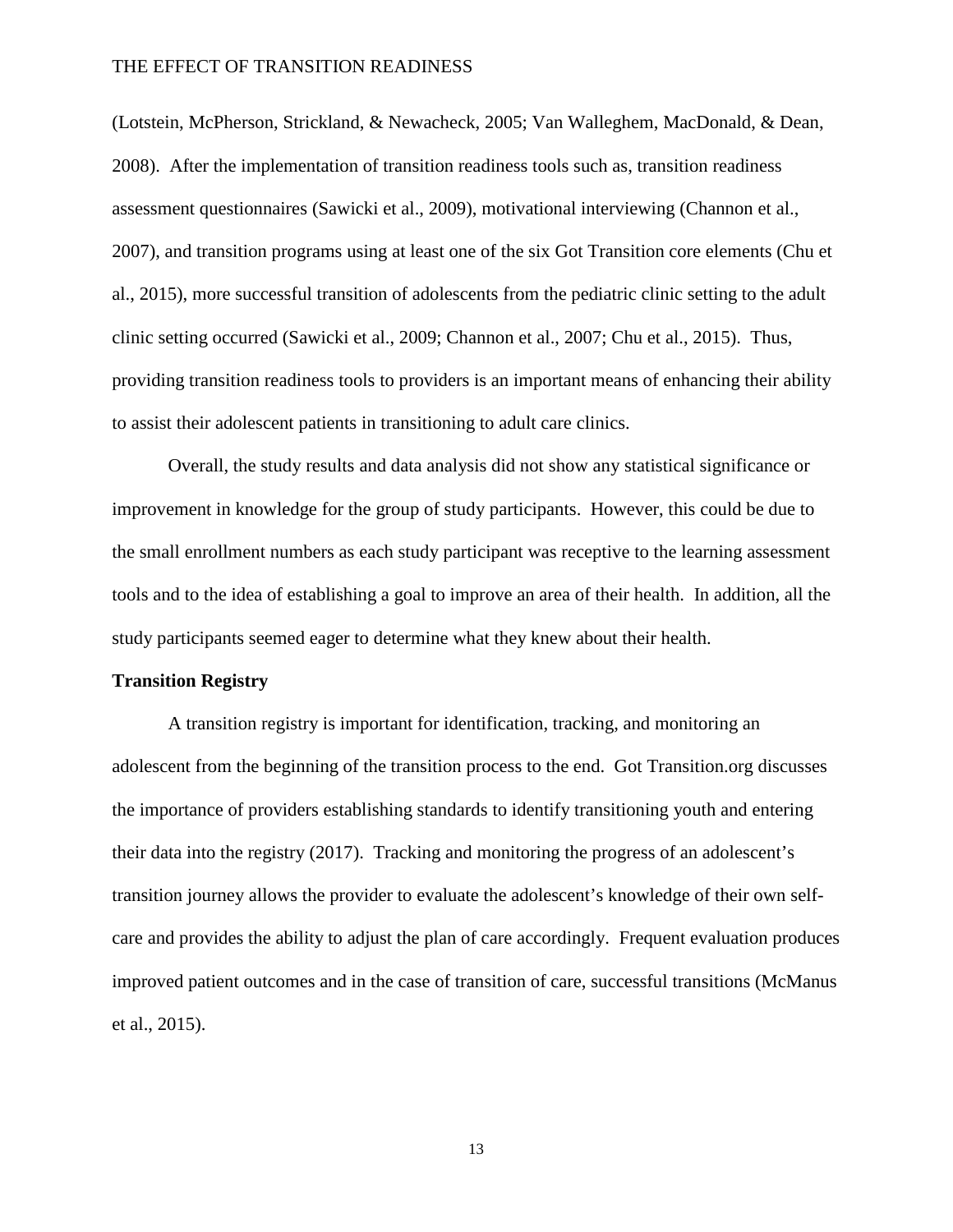(Lotstein, McPherson, Strickland, & Newacheck, 2005; Van Walleghem, MacDonald, & Dean, 2008). After the implementation of transition readiness tools such as, transition readiness assessment questionnaires (Sawicki et al., 2009), motivational interviewing (Channon et al., 2007), and transition programs using at least one of the six Got Transition core elements (Chu et al., 2015), more successful transition of adolescents from the pediatric clinic setting to the adult clinic setting occurred (Sawicki et al., 2009; Channon et al., 2007; Chu et al., 2015). Thus, providing transition readiness tools to providers is an important means of enhancing their ability to assist their adolescent patients in transitioning to adult care clinics.

Overall, the study results and data analysis did not show any statistical significance or improvement in knowledge for the group of study participants. However, this could be due to the small enrollment numbers as each study participant was receptive to the learning assessment tools and to the idea of establishing a goal to improve an area of their health. In addition, all the study participants seemed eager to determine what they knew about their health.

#### <span id="page-19-0"></span>**Transition Registry**

A transition registry is important for identification, tracking, and monitoring an adolescent from the beginning of the transition process to the end. Got Transition.org discusses the importance of providers establishing standards to identify transitioning youth and entering their data into the registry (2017). Tracking and monitoring the progress of an adolescent's transition journey allows the provider to evaluate the adolescent's knowledge of their own selfcare and provides the ability to adjust the plan of care accordingly. Frequent evaluation produces improved patient outcomes and in the case of transition of care, successful transitions (McManus et al., 2015).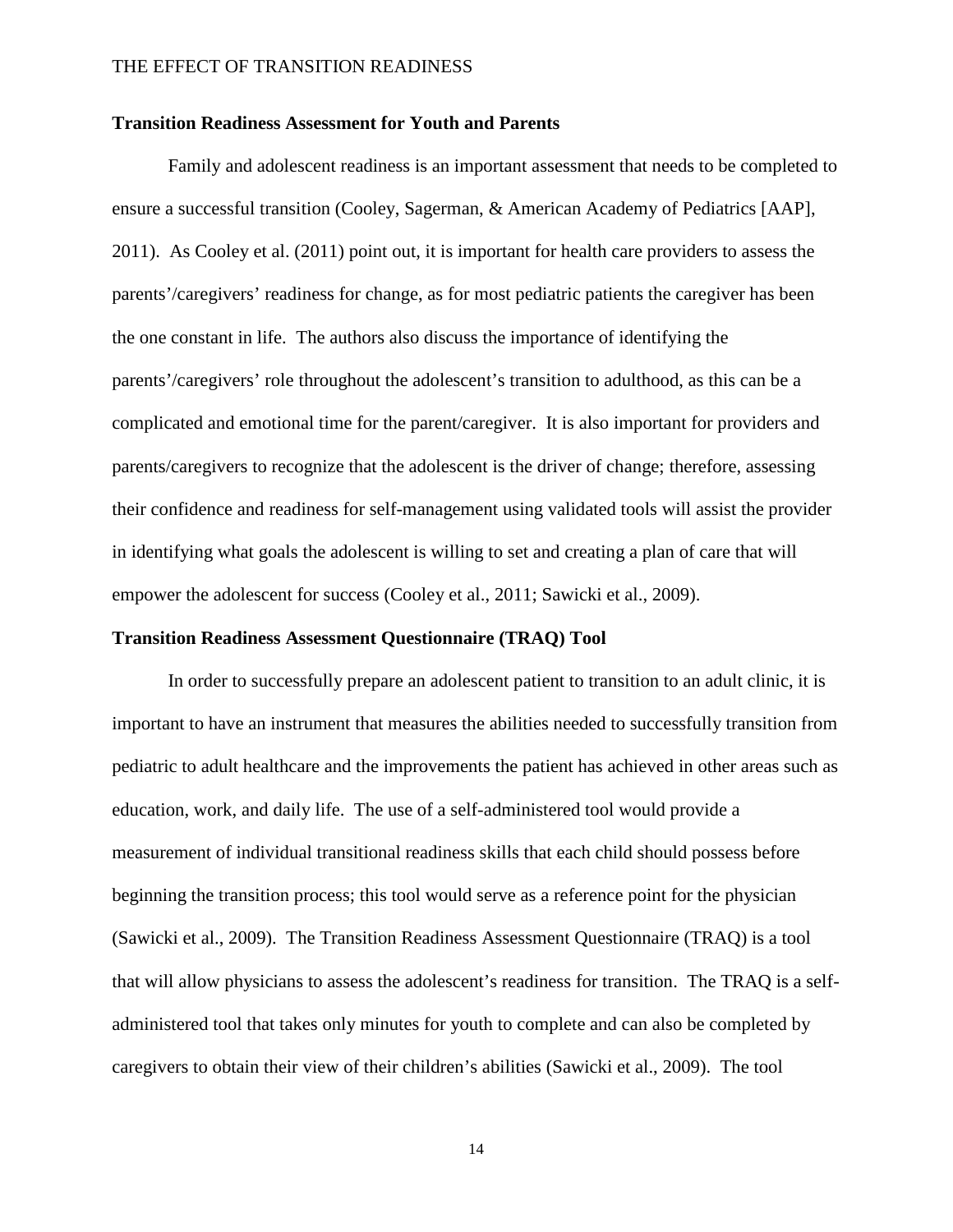#### <span id="page-20-0"></span>**Transition Readiness Assessment for Youth and Parents**

Family and adolescent readiness is an important assessment that needs to be completed to ensure a successful transition (Cooley, Sagerman, & American Academy of Pediatrics [AAP], 2011). As Cooley et al. (2011) point out, it is important for health care providers to assess the parents'/caregivers' readiness for change, as for most pediatric patients the caregiver has been the one constant in life. The authors also discuss the importance of identifying the parents'/caregivers' role throughout the adolescent's transition to adulthood, as this can be a complicated and emotional time for the parent/caregiver. It is also important for providers and parents/caregivers to recognize that the adolescent is the driver of change; therefore, assessing their confidence and readiness for self-management using validated tools will assist the provider in identifying what goals the adolescent is willing to set and creating a plan of care that will empower the adolescent for success (Cooley et al., 2011; Sawicki et al., 2009).

#### <span id="page-20-1"></span>**Transition Readiness Assessment Questionnaire (TRAQ) Tool**

In order to successfully prepare an adolescent patient to transition to an adult clinic, it is important to have an instrument that measures the abilities needed to successfully transition from pediatric to adult healthcare and the improvements the patient has achieved in other areas such as education, work, and daily life. The use of a self-administered tool would provide a measurement of individual transitional readiness skills that each child should possess before beginning the transition process; this tool would serve as a reference point for the physician (Sawicki et al., 2009). The Transition Readiness Assessment Questionnaire (TRAQ) is a tool that will allow physicians to assess the adolescent's readiness for transition. The TRAQ is a selfadministered tool that takes only minutes for youth to complete and can also be completed by caregivers to obtain their view of their children's abilities (Sawicki et al., 2009). The tool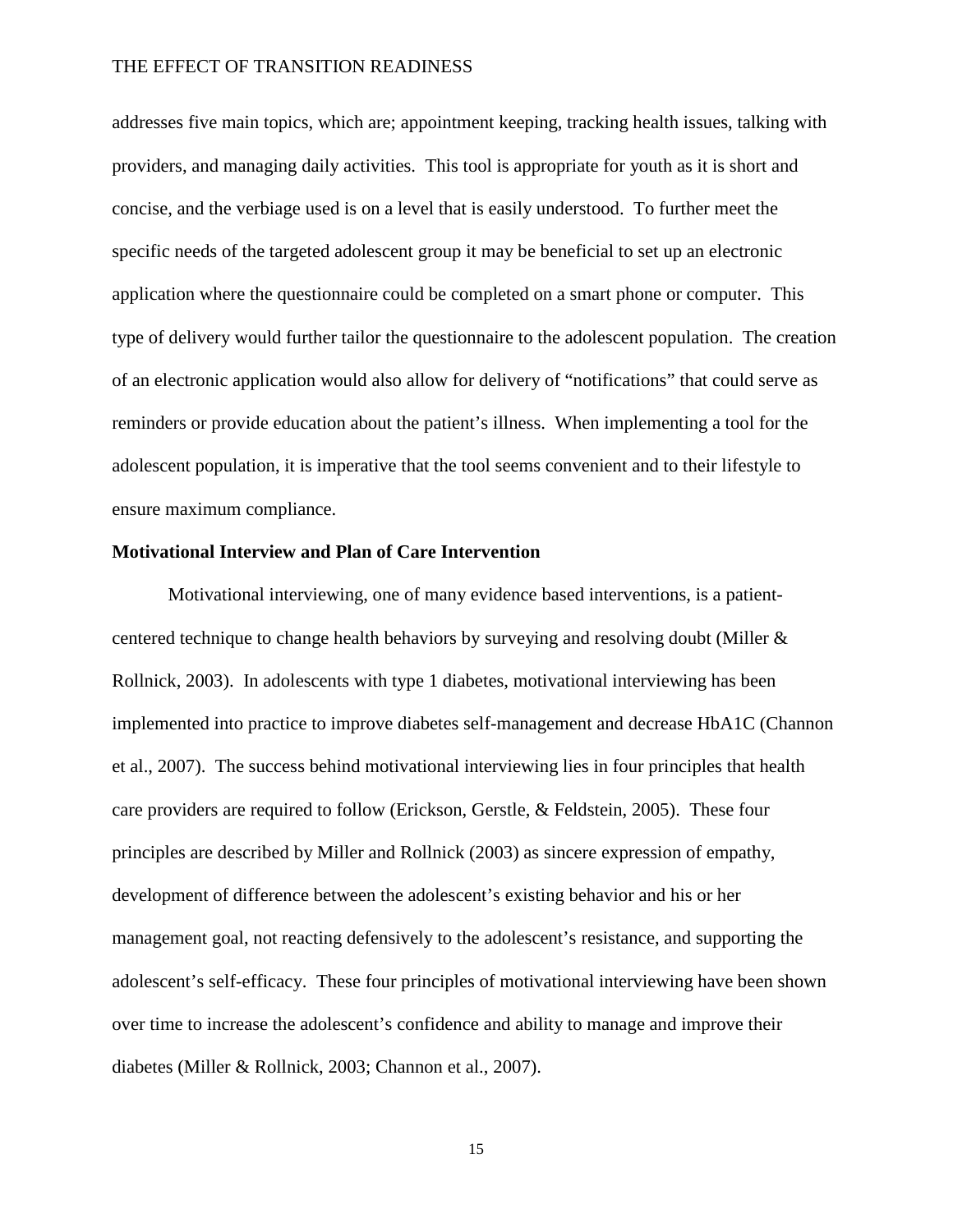addresses five main topics, which are; appointment keeping, tracking health issues, talking with providers, and managing daily activities. This tool is appropriate for youth as it is short and concise, and the verbiage used is on a level that is easily understood. To further meet the specific needs of the targeted adolescent group it may be beneficial to set up an electronic application where the questionnaire could be completed on a smart phone or computer. This type of delivery would further tailor the questionnaire to the adolescent population. The creation of an electronic application would also allow for delivery of "notifications" that could serve as reminders or provide education about the patient's illness. When implementing a tool for the adolescent population, it is imperative that the tool seems convenient and to their lifestyle to ensure maximum compliance.

#### <span id="page-21-0"></span>**Motivational Interview and Plan of Care Intervention**

Motivational interviewing, one of many evidence based interventions, is a patientcentered technique to change health behaviors by surveying and resolving doubt (Miller & Rollnick, 2003). In adolescents with type 1 diabetes, motivational interviewing has been implemented into practice to improve diabetes self-management and decrease HbA1C (Channon et al., 2007). The success behind motivational interviewing lies in four principles that health care providers are required to follow (Erickson, Gerstle, & Feldstein, 2005). These four principles are described by Miller and Rollnick (2003) as sincere expression of empathy, development of difference between the adolescent's existing behavior and his or her management goal, not reacting defensively to the adolescent's resistance, and supporting the adolescent's self-efficacy. These four principles of motivational interviewing have been shown over time to increase the adolescent's confidence and ability to manage and improve their diabetes (Miller & Rollnick, 2003; Channon et al., 2007).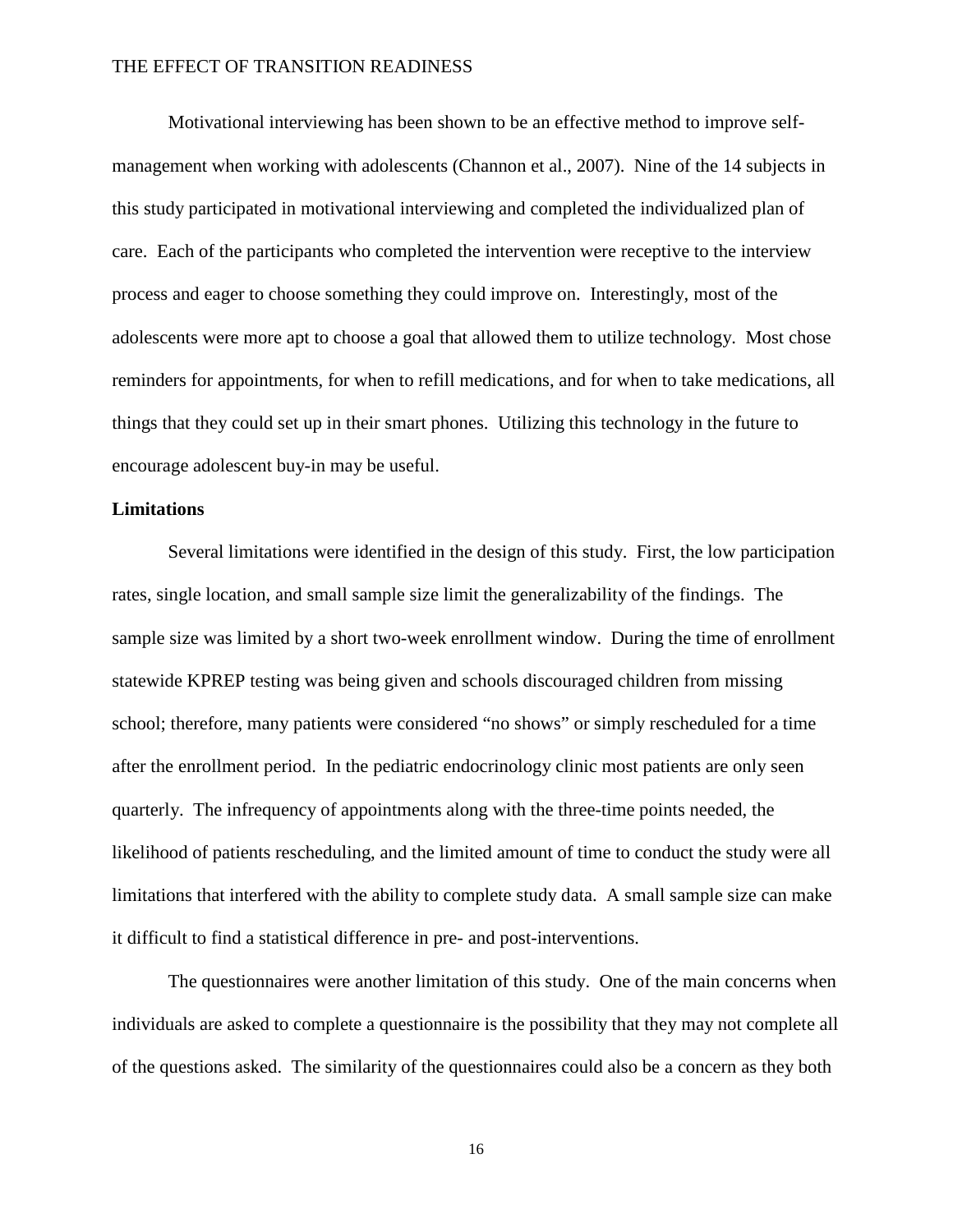Motivational interviewing has been shown to be an effective method to improve selfmanagement when working with adolescents (Channon et al., 2007). Nine of the 14 subjects in this study participated in motivational interviewing and completed the individualized plan of care. Each of the participants who completed the intervention were receptive to the interview process and eager to choose something they could improve on. Interestingly, most of the adolescents were more apt to choose a goal that allowed them to utilize technology. Most chose reminders for appointments, for when to refill medications, and for when to take medications, all things that they could set up in their smart phones. Utilizing this technology in the future to encourage adolescent buy-in may be useful.

#### <span id="page-22-0"></span>**Limitations**

Several limitations were identified in the design of this study. First, the low participation rates, single location, and small sample size limit the generalizability of the findings. The sample size was limited by a short two-week enrollment window. During the time of enrollment statewide KPREP testing was being given and schools discouraged children from missing school; therefore, many patients were considered "no shows" or simply rescheduled for a time after the enrollment period. In the pediatric endocrinology clinic most patients are only seen quarterly. The infrequency of appointments along with the three-time points needed, the likelihood of patients rescheduling, and the limited amount of time to conduct the study were all limitations that interfered with the ability to complete study data. A small sample size can make it difficult to find a statistical difference in pre- and post-interventions.

The questionnaires were another limitation of this study. One of the main concerns when individuals are asked to complete a questionnaire is the possibility that they may not complete all of the questions asked. The similarity of the questionnaires could also be a concern as they both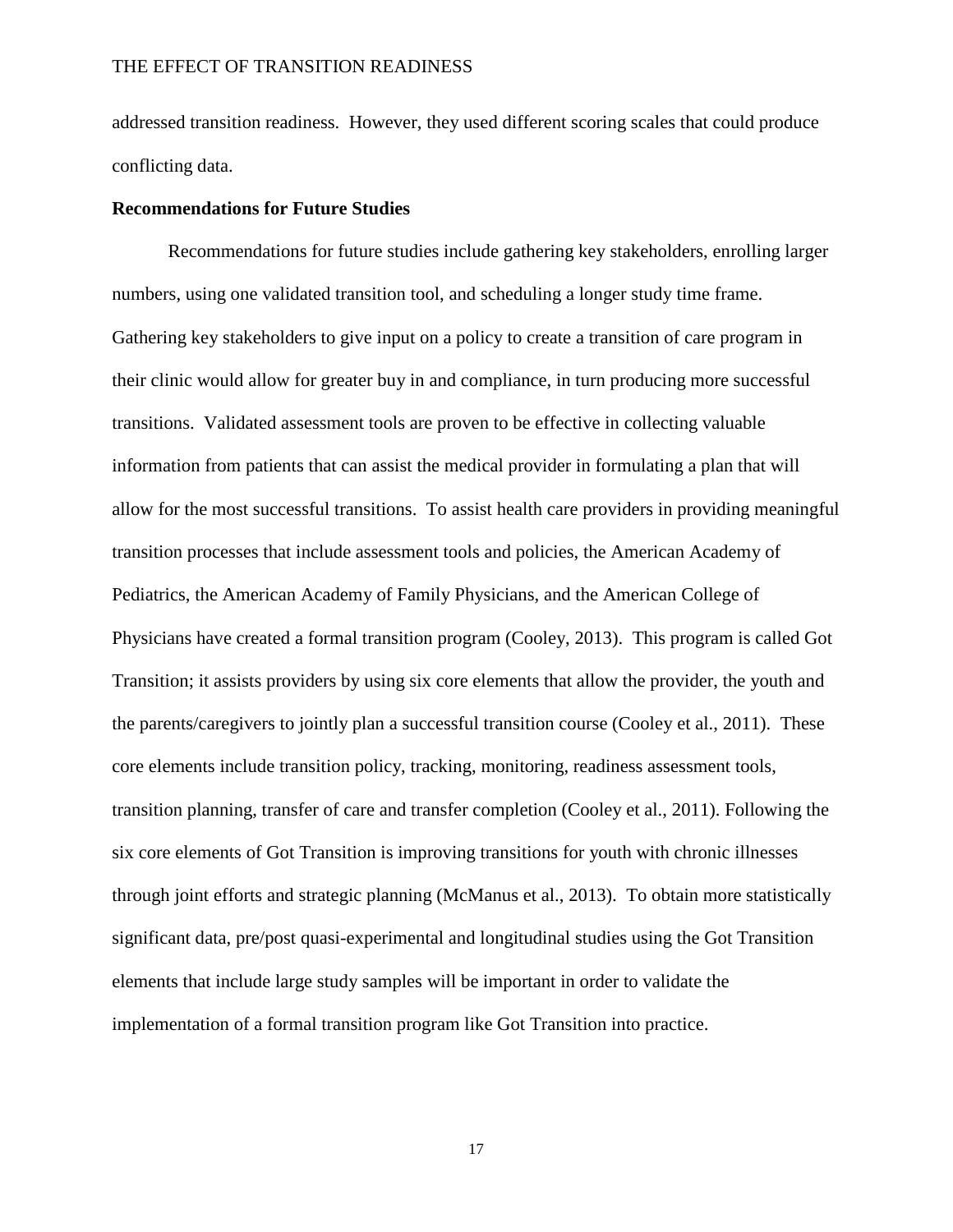addressed transition readiness. However, they used different scoring scales that could produce conflicting data.

#### <span id="page-23-0"></span>**Recommendations for Future Studies**

<span id="page-23-1"></span>Recommendations for future studies include gathering key stakeholders, enrolling larger numbers, using one validated transition tool, and scheduling a longer study time frame. Gathering key stakeholders to give input on a policy to create a transition of care program in their clinic would allow for greater buy in and compliance, in turn producing more successful transitions. Validated assessment tools are proven to be effective in collecting valuable information from patients that can assist the medical provider in formulating a plan that will allow for the most successful transitions. To assist health care providers in providing meaningful transition processes that include assessment tools and policies, the American Academy of Pediatrics, the American Academy of Family Physicians, and the American College of Physicians have created a formal transition program (Cooley, 2013). This program is called Got Transition; it assists providers by using six core elements that allow the provider, the youth and the parents/caregivers to jointly plan a successful transition course (Cooley et al., 2011). These core elements include transition policy, tracking, monitoring, readiness assessment tools, transition planning, transfer of care and transfer completion (Cooley et al., 2011). Following the six core elements of Got Transition is improving transitions for youth with chronic illnesses through joint efforts and strategic planning (McManus et al., 2013). To obtain more statistically significant data, pre/post quasi-experimental and longitudinal studies using the Got Transition elements that include large study samples will be important in order to validate the implementation of a formal transition program like Got Transition into practice.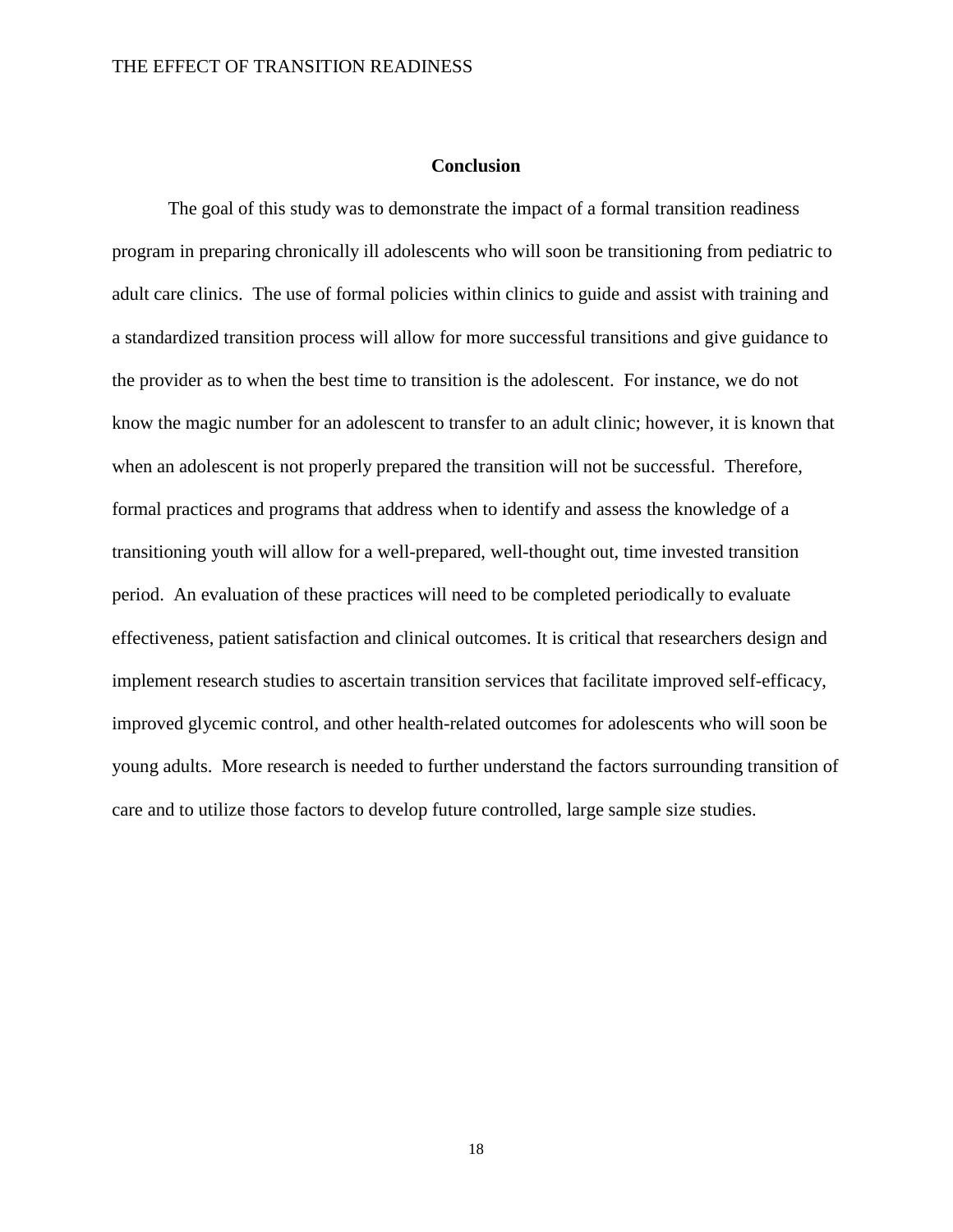#### **Conclusion**

<span id="page-24-0"></span>The goal of this study was to demonstrate the impact of a formal transition readiness program in preparing chronically ill adolescents who will soon be transitioning from pediatric to adult care clinics. The use of formal policies within clinics to guide and assist with training and a standardized transition process will allow for more successful transitions and give guidance to the provider as to when the best time to transition is the adolescent. For instance, we do not know the magic number for an adolescent to transfer to an adult clinic; however, it is known that when an adolescent is not properly prepared the transition will not be successful. Therefore, formal practices and programs that address when to identify and assess the knowledge of a transitioning youth will allow for a well-prepared, well-thought out, time invested transition period. An evaluation of these practices will need to be completed periodically to evaluate effectiveness, patient satisfaction and clinical outcomes. It is critical that researchers design and implement research studies to ascertain transition services that facilitate improved self-efficacy, improved glycemic control, and other health-related outcomes for adolescents who will soon be young adults. More research is needed to further understand the factors surrounding transition of care and to utilize those factors to develop future controlled, large sample size studies.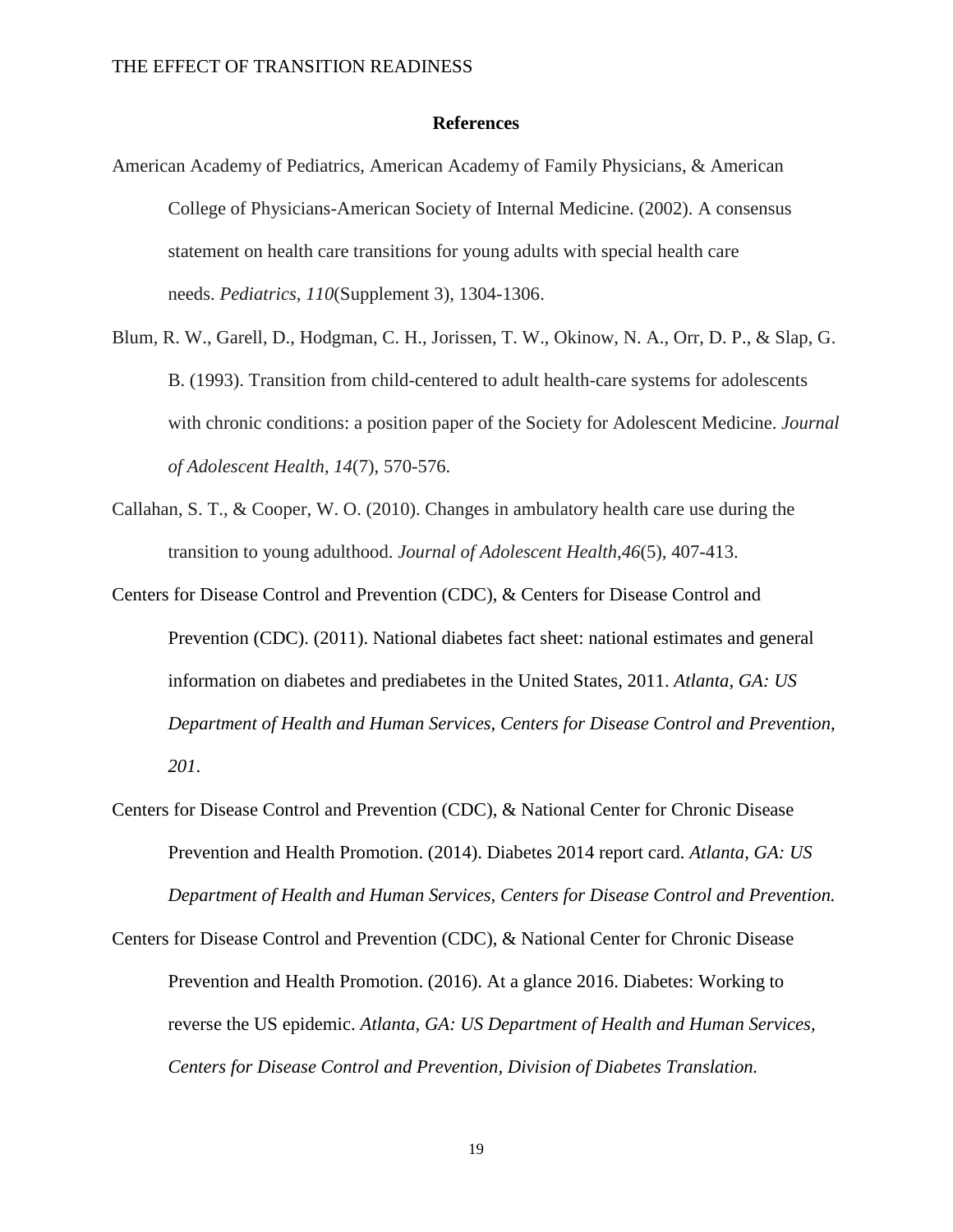#### **References**

- American Academy of Pediatrics, American Academy of Family Physicians, & American College of Physicians-American Society of Internal Medicine. (2002). A consensus statement on health care transitions for young adults with special health care needs. *Pediatrics*, *110*(Supplement 3), 1304-1306.
- Blum, R. W., Garell, D., Hodgman, C. H., Jorissen, T. W., Okinow, N. A., Orr, D. P., & Slap, G. B. (1993). Transition from child-centered to adult health-care systems for adolescents with chronic conditions: a position paper of the Society for Adolescent Medicine. *Journal of Adolescent Health*, *14*(7), 570-576.
- Callahan, S. T., & Cooper, W. O. (2010). Changes in ambulatory health care use during the transition to young adulthood. *Journal of Adolescent Health*,*46*(5), 407-413.
- Centers for Disease Control and Prevention (CDC), & Centers for Disease Control and Prevention (CDC). (2011). National diabetes fact sheet: national estimates and general information on diabetes and prediabetes in the United States, 2011. *Atlanta, GA: US Department of Health and Human Services, Centers for Disease Control and Prevention*, *201*.
- Centers for Disease Control and Prevention (CDC), & National Center for Chronic Disease Prevention and Health Promotion. (2014). Diabetes 2014 report card. *Atlanta, GA: US Department of Health and Human Services, Centers for Disease Control and Prevention.*
- Centers for Disease Control and Prevention (CDC), & National Center for Chronic Disease Prevention and Health Promotion. (2016). At a glance 2016. Diabetes: Working to reverse the US epidemic. *Atlanta, GA: US Department of Health and Human Services, Centers for Disease Control and Prevention, Division of Diabetes Translation.*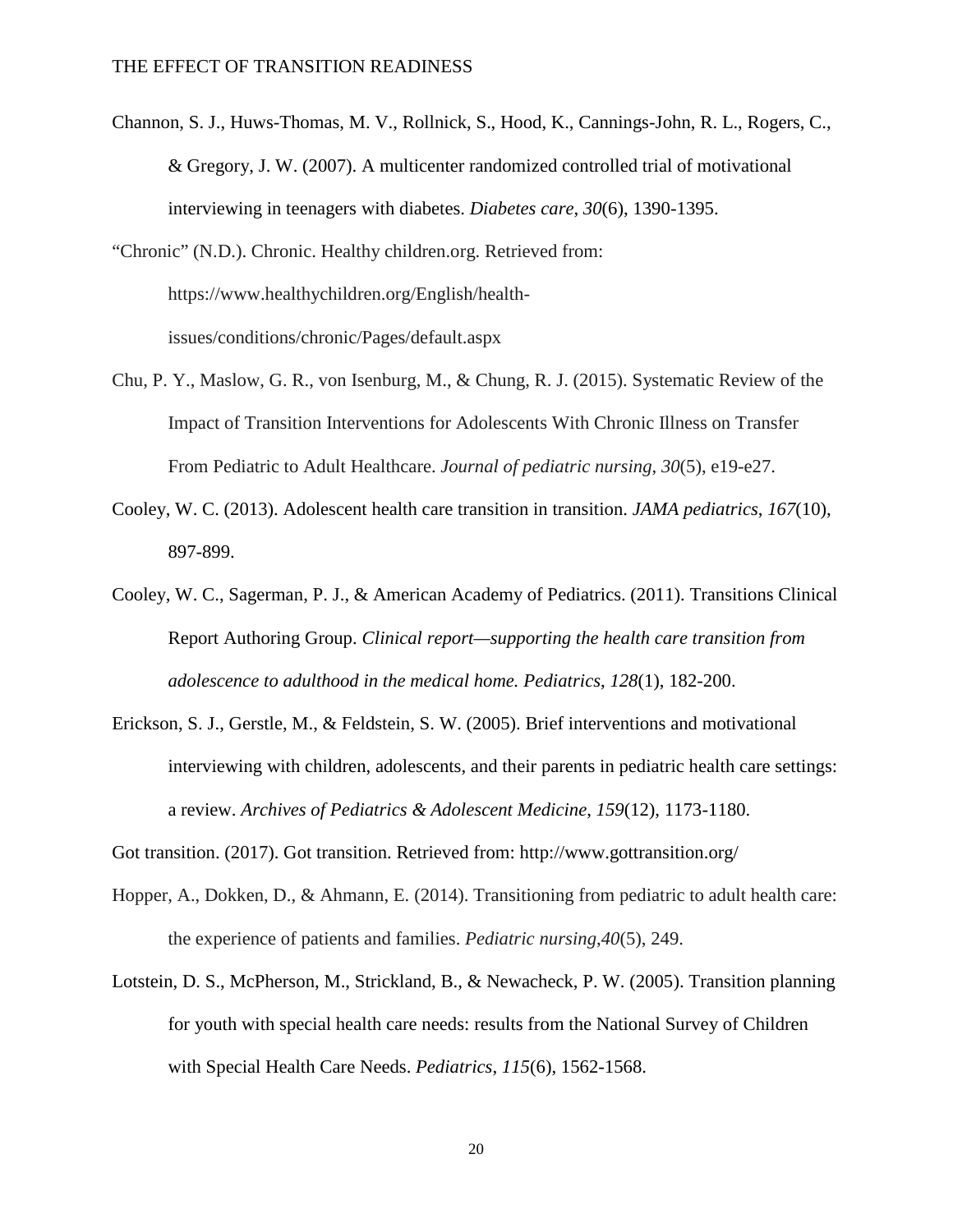Channon, S. J., Huws-Thomas, M. V., Rollnick, S., Hood, K., Cannings-John, R. L., Rogers, C., & Gregory, J. W. (2007). A multicenter randomized controlled trial of motivational interviewing in teenagers with diabetes. *Diabetes care*, *30*(6), 1390-1395.

"Chronic" (N.D.). Chronic. Healthy children.org. Retrieved from: https://www.healthychildren.org/English/healthissues/conditions/chronic/Pages/default.aspx

- Chu, P. Y., Maslow, G. R., von Isenburg, M., & Chung, R. J. (2015). Systematic Review of the Impact of Transition Interventions for Adolescents With Chronic Illness on Transfer From Pediatric to Adult Healthcare. *Journal of pediatric nursing*, *30*(5), e19-e27.
- Cooley, W. C. (2013). Adolescent health care transition in transition. *JAMA pediatrics*, *167*(10), 897-899.
- Cooley, W. C., Sagerman, P. J., & American Academy of Pediatrics. (2011). Transitions Clinical Report Authoring Group. *Clinical report—supporting the health care transition from adolescence to adulthood in the medical home. Pediatrics*, *128*(1), 182-200.
- Erickson, S. J., Gerstle, M., & Feldstein, S. W. (2005). Brief interventions and motivational interviewing with children, adolescents, and their parents in pediatric health care settings: a review. *Archives of Pediatrics & Adolescent Medicine*, *159*(12), 1173-1180.
- Got transition. (2017). Got transition. Retrieved from: http://www.gottransition.org/
- Hopper, A., Dokken, D., & Ahmann, E. (2014). Transitioning from pediatric to adult health care: the experience of patients and families. *Pediatric nursing*,*40*(5), 249.
- Lotstein, D. S., McPherson, M., Strickland, B., & Newacheck, P. W. (2005). Transition planning for youth with special health care needs: results from the National Survey of Children with Special Health Care Needs. *Pediatrics*, *115*(6), 1562-1568.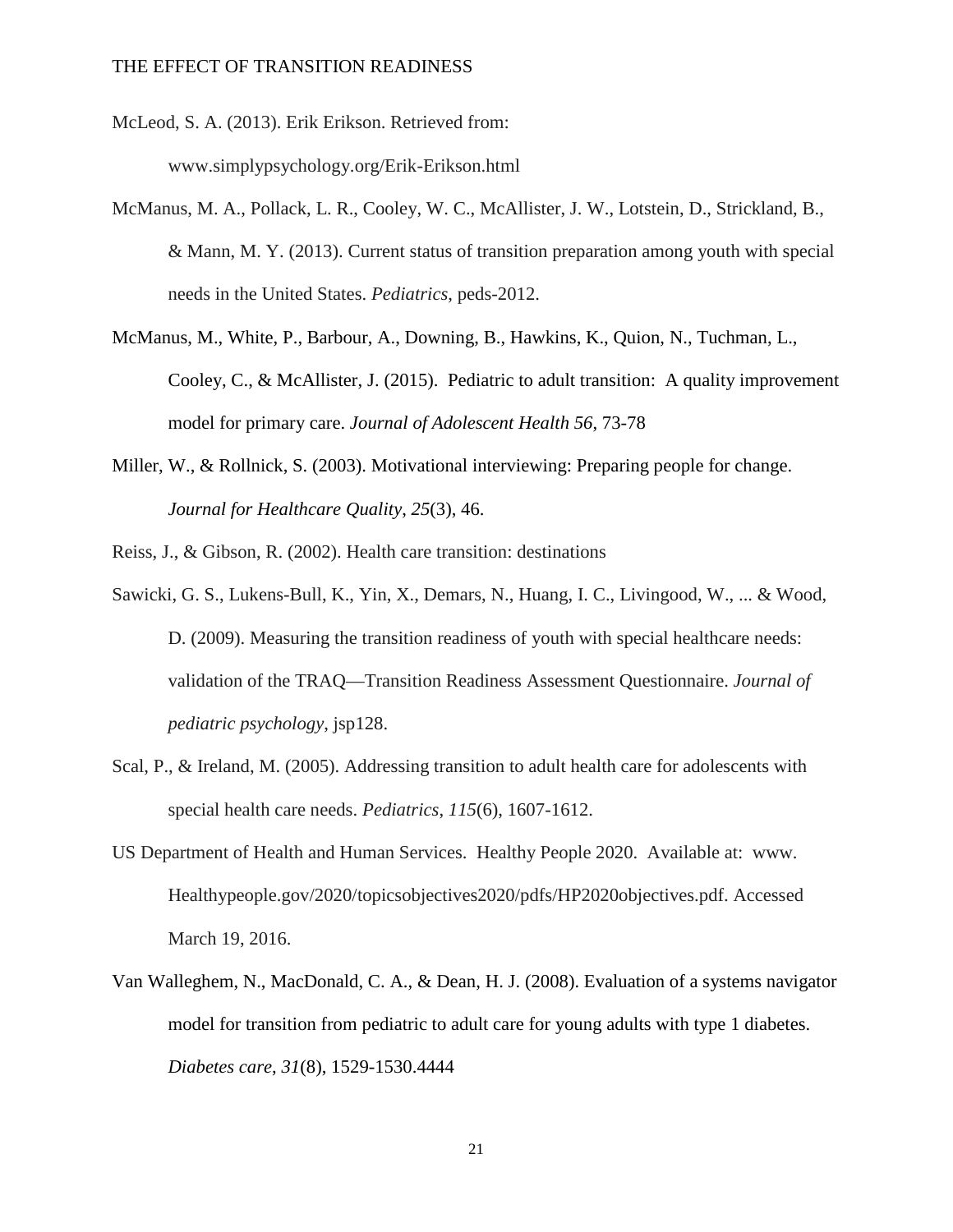- McLeod, S. A. (2013). Erik Erikson. Retrieved from: www.simplypsychology.org/Erik-Erikson.html
- McManus, M. A., Pollack, L. R., Cooley, W. C., McAllister, J. W., Lotstein, D., Strickland, B., & Mann, M. Y. (2013). Current status of transition preparation among youth with special needs in the United States. *Pediatrics*, peds-2012.
- McManus, M., White, P., Barbour, A., Downing, B., Hawkins, K., Quion, N., Tuchman, L., Cooley, C., & McAllister, J. (2015). Pediatric to adult transition: A quality improvement model for primary care. *Journal of Adolescent Health 56*, 73-78
- Miller, W., & Rollnick, S. (2003). Motivational interviewing: Preparing people for change. *Journal for Healthcare Quality*, *25*(3), 46.
- Reiss, J., & Gibson, R. (2002). Health care transition: destinations
- Sawicki, G. S., Lukens-Bull, K., Yin, X., Demars, N., Huang, I. C., Livingood, W., ... & Wood, D. (2009). Measuring the transition readiness of youth with special healthcare needs: validation of the TRAQ—Transition Readiness Assessment Questionnaire. *Journal of pediatric psychology*, jsp128.
- Scal, P., & Ireland, M. (2005). Addressing transition to adult health care for adolescents with special health care needs. *Pediatrics*, *115*(6), 1607-1612.
- US Department of Health and Human Services. Healthy People 2020. Available at: www. Healthypeople.gov/2020/topicsobjectives2020/pdfs/HP2020objectives.pdf. Accessed March 19, 2016.
- Van Walleghem, N., MacDonald, C. A., & Dean, H. J. (2008). Evaluation of a systems navigator model for transition from pediatric to adult care for young adults with type 1 diabetes. *Diabetes care*, *31*(8), 1529-1530.4444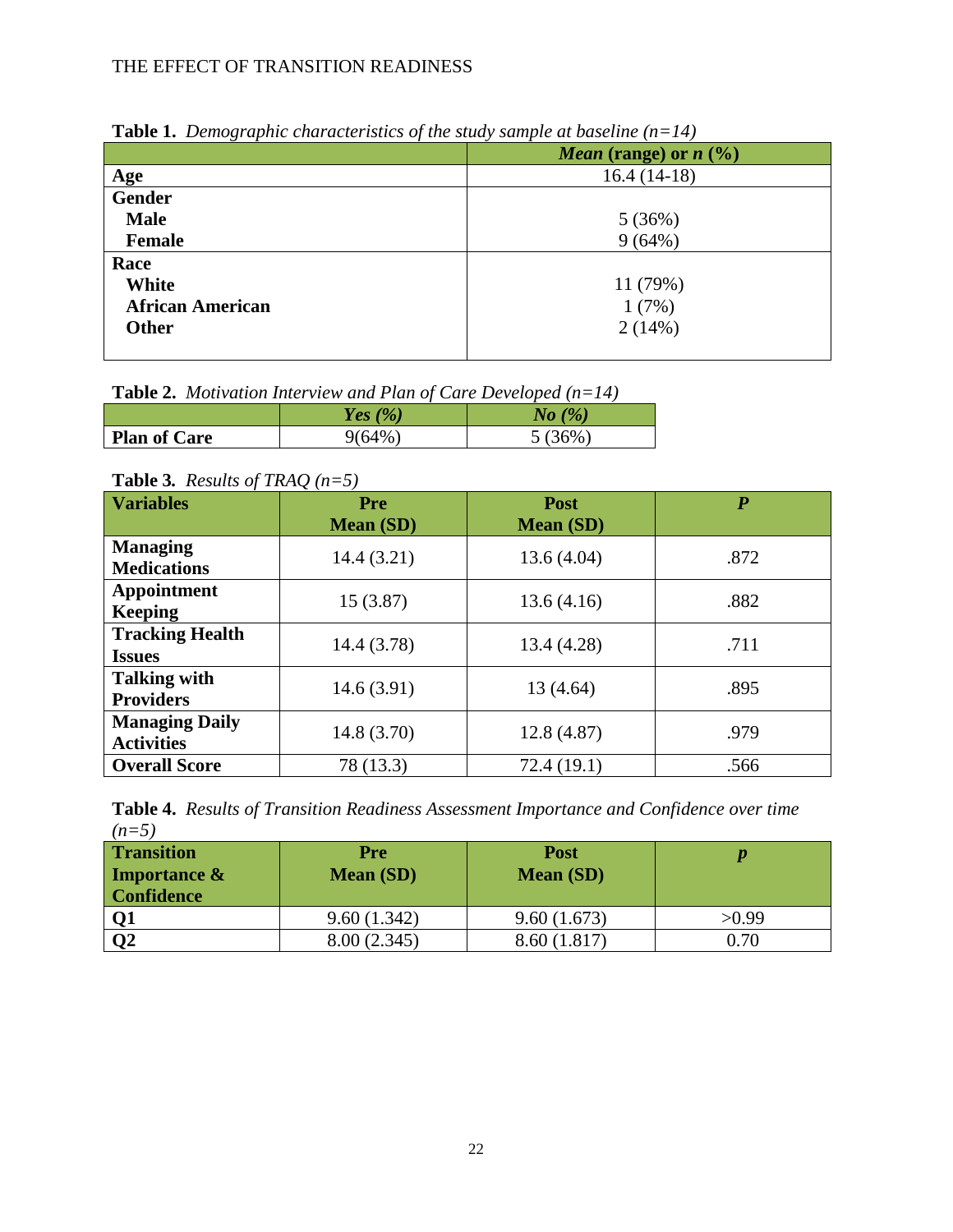|                         | <i>Mean</i> (range) or $n$ (%) |  |  |  |  |  |
|-------------------------|--------------------------------|--|--|--|--|--|
| Age                     | $16.4(14-18)$                  |  |  |  |  |  |
| <b>Gender</b>           |                                |  |  |  |  |  |
| <b>Male</b>             | 5(36%)                         |  |  |  |  |  |
| <b>Female</b>           | 9(64%)                         |  |  |  |  |  |
| Race                    |                                |  |  |  |  |  |
| White                   | 11 (79%)                       |  |  |  |  |  |
| <b>African American</b> | 1(7%)                          |  |  |  |  |  |
| <b>Other</b>            | 2(14%)                         |  |  |  |  |  |
|                         |                                |  |  |  |  |  |

<span id="page-28-0"></span>**Table 1.** *Demographic characteristics of the study sample at baseline (n=14)*

<span id="page-28-1"></span>**Table 2.** *Motivation Interview and Plan of Care Developed (n=14)*

|                     | Yes $(\% )$ | (9, 6)<br>No' |
|---------------------|-------------|---------------|
| <b>Plan of Care</b> | (64%        | 36%<br>ັ      |

## <span id="page-28-2"></span>**Table 3***. Results of TRAQ (n=5)*

| <b>Variables</b>                           | $  \sim$ $($ $\cdot$ $)$<br><b>Pre</b> | <b>Post</b>      | P    |
|--------------------------------------------|----------------------------------------|------------------|------|
|                                            | <b>Mean (SD)</b>                       | <b>Mean (SD)</b> |      |
| <b>Managing</b><br><b>Medications</b>      | 14.4(3.21)                             | 13.6(4.04)       | .872 |
| <b>Appointment</b>                         |                                        |                  |      |
| <b>Keeping</b>                             | 15(3.87)                               | 13.6(4.16)       | .882 |
| <b>Tracking Health</b><br><b>Issues</b>    | 14.4 (3.78)                            | 13.4 (4.28)      | .711 |
| <b>Talking with</b><br><b>Providers</b>    | 14.6(3.91)                             | 13 (4.64)        | .895 |
| <b>Managing Daily</b><br><b>Activities</b> | 14.8(3.70)                             | 12.8(4.87)       | .979 |
| <b>Overall Score</b>                       | 78 (13.3)                              | 72.4(19.1)       | .566 |

<span id="page-28-3"></span>

|         | Table 4. Results of Transition Readiness Assessment Importance and Confidence over time |  |
|---------|-----------------------------------------------------------------------------------------|--|
| $(n=5)$ |                                                                                         |  |

| <b>Transition</b><br>Importance &<br><b>Confidence</b> | Pre<br><b>Mean (SD)</b> | <b>Post</b><br><b>Mean (SD)</b> |       |  |  |
|--------------------------------------------------------|-------------------------|---------------------------------|-------|--|--|
| $\overline{\mathbf{Q}}$ 1                              | 9.60(1.342)             | 9.60(1.673)                     | >0.99 |  |  |
| $\overline{Q2}$                                        | 8.00 (2.345)            | 8.60 (1.817)                    | 0.70  |  |  |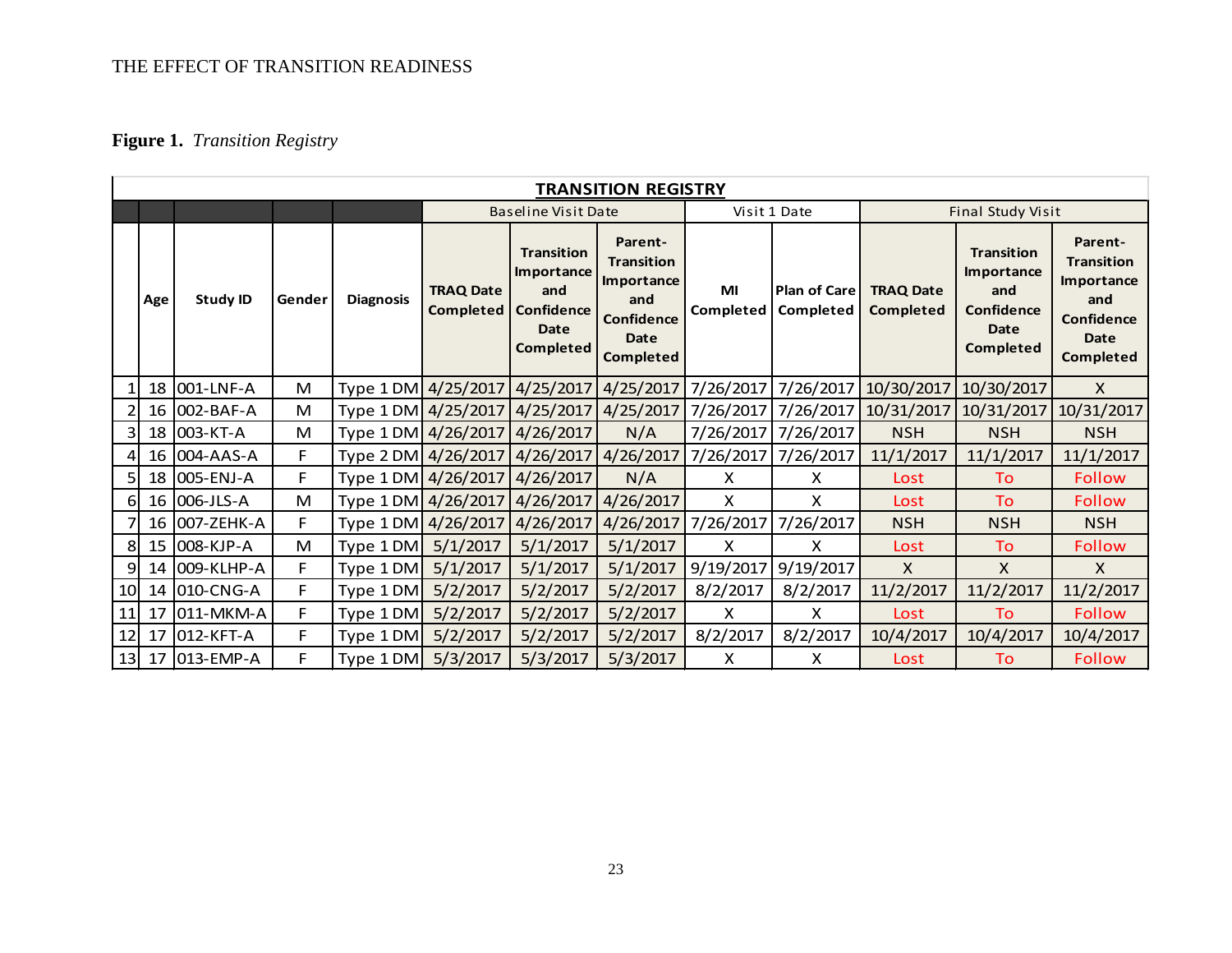# **Figure 1.** *Transition Registry*

<span id="page-29-0"></span>

|                 | <b>TRANSITION REGISTRY</b> |               |        |                     |                               |                                                                                  |                                                                                                    |                 |                                  |                                      |                                                                                                |                                                                                                    |  |
|-----------------|----------------------------|---------------|--------|---------------------|-------------------------------|----------------------------------------------------------------------------------|----------------------------------------------------------------------------------------------------|-----------------|----------------------------------|--------------------------------------|------------------------------------------------------------------------------------------------|----------------------------------------------------------------------------------------------------|--|
|                 |                            |               |        |                     | <b>Baseline Visit Date</b>    |                                                                                  |                                                                                                    |                 | Visit 1 Date                     |                                      | <b>Final Study Visit</b>                                                                       |                                                                                                    |  |
|                 | Age                        | Study ID      | Gender | <b>Diagnosis</b>    | <b>TRAQ Date</b><br>Completed | <b>Transition</b><br>Importance<br>and<br>Confidence<br><b>Date</b><br>Completed | Parent-<br><b>Transition</b><br>Importance<br>and<br><b>Confidence</b><br>Date<br><b>Completed</b> | ΜI<br>Completed | <b>Plan of Care</b><br>Completed | <b>TRAQ Date</b><br><b>Completed</b> | <b>Transition</b><br>Importance<br>and<br><b>Confidence</b><br><b>Date</b><br><b>Completed</b> | Parent-<br><b>Transition</b><br>Importance<br>and<br>Confidence<br><b>Date</b><br><b>Completed</b> |  |
|                 | 18                         | 001-LNF-A     | M      |                     | Type 1 DM 4/25/2017           | 4/25/2017                                                                        | 4/25/2017                                                                                          | 7/26/2017       | 7/26/2017                        | 10/30/2017                           | 10/30/2017                                                                                     | $\mathsf{X}$                                                                                       |  |
|                 | 16                         | 002-BAF-A     | M      | Type 1 DM 4/25/2017 |                               | 4/25/2017                                                                        | 4/25/2017                                                                                          | 7/26/2017       | 7/26/2017                        | 10/31/2017                           | 10/31/2017                                                                                     | 10/31/2017                                                                                         |  |
| 3               |                            | 18 003-KT-A   | M      |                     | Type 1 DM 4/26/2017           | 4/26/2017                                                                        | N/A                                                                                                |                 | 7/26/2017 7/26/2017              | <b>NSH</b>                           | <b>NSH</b>                                                                                     | <b>NSH</b>                                                                                         |  |
|                 | 16                         | 004-AAS-A     | F.     |                     | Type 2 DM 4/26/2017           | 4/26/2017                                                                        | 4/26/2017                                                                                          | 7/26/2017       | 7/26/2017                        | 11/1/2017                            | 11/1/2017                                                                                      | 11/1/2017                                                                                          |  |
| 5               | 18                         | 005-ENJ-A     | F.     | Type 1 DM 4/26/2017 |                               | 4/26/2017                                                                        | N/A                                                                                                | X.              | X                                | Lost                                 | To                                                                                             | <b>Follow</b>                                                                                      |  |
| 61              | 16                         | 006-JLS-A     | M      |                     | Type 1 DM 4/26/2017           | 4/26/2017                                                                        | 4/26/2017                                                                                          | X               | X                                | Lost                                 | To                                                                                             | <b>Follow</b>                                                                                      |  |
|                 | 16                         | 007-ZEHK-A    | F.     | Type 1 DM 4/26/2017 |                               | 4/26/2017                                                                        | 4/26/2017                                                                                          | 7/26/2017       | 7/26/2017                        | <b>NSH</b>                           | <b>NSH</b>                                                                                     | <b>NSH</b>                                                                                         |  |
| 8               | 15                         | $1008-KJP-A$  | M      | Type $1$ DM         | 5/1/2017                      | 5/1/2017                                                                         | 5/1/2017                                                                                           | X               | X                                | Lost                                 | To                                                                                             | <b>Follow</b>                                                                                      |  |
| $\overline{9}$  | 14                         | 009-KLHP-A    | F.     | Type 1 DM           | 5/1/2017                      | 5/1/2017                                                                         | 5/1/2017                                                                                           | 9/19/2017       | 9/19/2017                        | $\mathsf{X}$                         | X                                                                                              | $\mathsf{X}$                                                                                       |  |
| 10 <sup>1</sup> | 14                         | $[010$ -CNG-A | F.     | Type $1$ DM         | 5/2/2017                      | 5/2/2017                                                                         | 5/2/2017                                                                                           | 8/2/2017        | 8/2/2017                         | 11/2/2017                            | 11/2/2017                                                                                      | 11/2/2017                                                                                          |  |
| 11              | 17                         | 011-MKM-A     | F.     | Type 1 DM           | 5/2/2017                      | 5/2/2017                                                                         | 5/2/2017                                                                                           | X               | X                                | Lost                                 | To                                                                                             | <b>Follow</b>                                                                                      |  |
| 12              | 17                         | 012-KFT-A     | F.     | Type 1 DM           | 5/2/2017                      | 5/2/2017                                                                         | 5/2/2017                                                                                           | 8/2/2017        | 8/2/2017                         | 10/4/2017                            | 10/4/2017                                                                                      | 10/4/2017                                                                                          |  |
| 13              |                            | 17 013-EMP-A  | F.     | Type $1$ DM         | 5/3/2017                      | 5/3/2017                                                                         | 5/3/2017                                                                                           | X               | X                                | Lost                                 | To                                                                                             | <b>Follow</b>                                                                                      |  |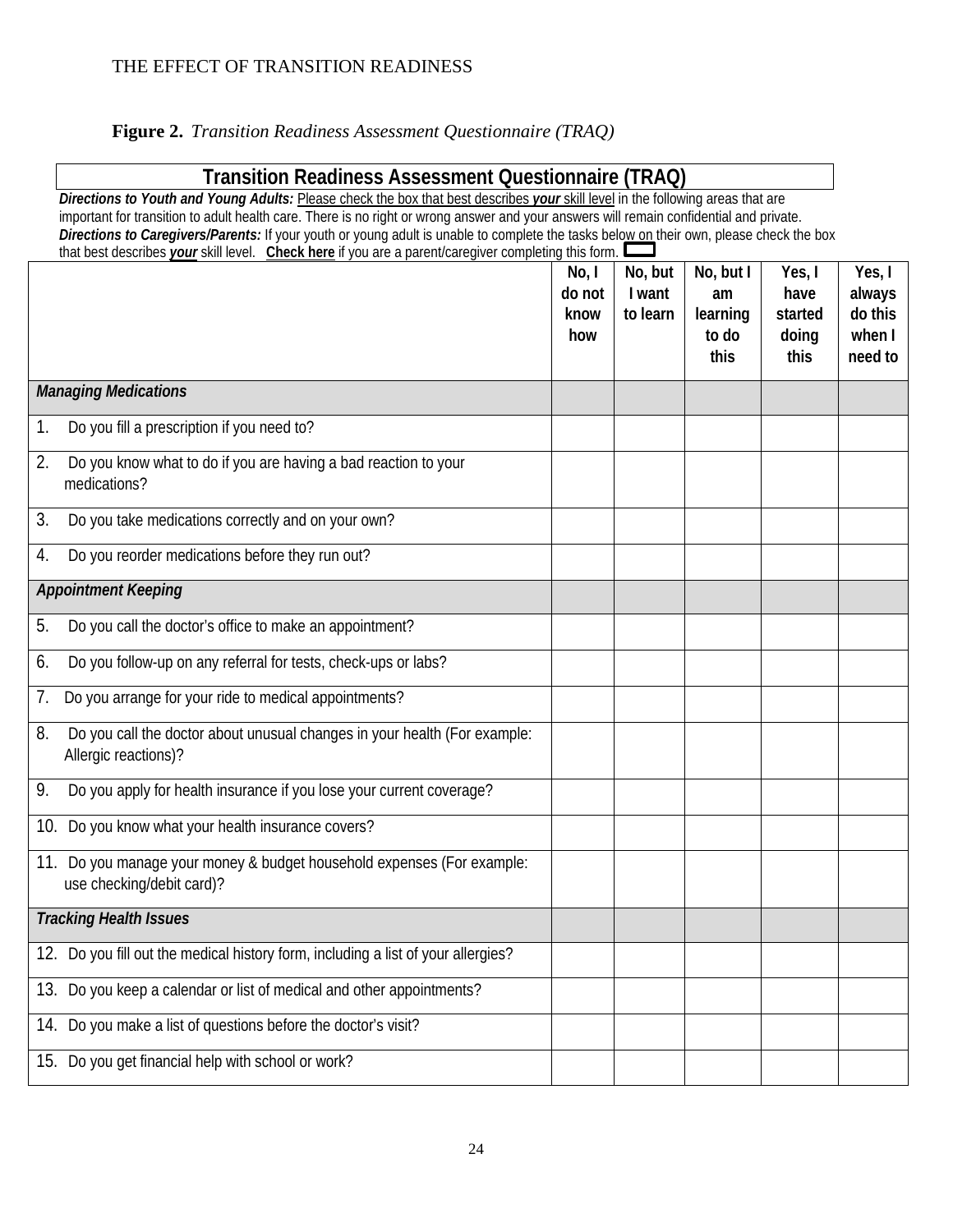|                  | Transition Readiness Assessment Questionnaire (TRAQ)                                                                                                                                                                                                                               |        |          |          |         |         |  |  |
|------------------|------------------------------------------------------------------------------------------------------------------------------------------------------------------------------------------------------------------------------------------------------------------------------------|--------|----------|----------|---------|---------|--|--|
|                  | Directions to Youth and Young Adults: Please check the box that best describes your skill level in the following areas that are                                                                                                                                                    |        |          |          |         |         |  |  |
|                  | important for transition to adult health care. There is no right or wrong answer and your answers will remain confidential and private.<br>Directions to Caregivers/Parents: If your youth or young adult is unable to complete the tasks below on their own, please check the box |        |          |          |         |         |  |  |
|                  | that best describes your skill level. Check here if you are a parent/caregiver completing this form.                                                                                                                                                                               |        |          |          |         |         |  |  |
|                  | No, but<br>No, but I<br>Yes, I<br>No, I                                                                                                                                                                                                                                            |        |          |          |         |         |  |  |
|                  |                                                                                                                                                                                                                                                                                    | do not | I want   | am       | have    | always  |  |  |
|                  |                                                                                                                                                                                                                                                                                    | know   | to learn | learning | started | do this |  |  |
|                  |                                                                                                                                                                                                                                                                                    | how    |          | to do    | doing   | when I  |  |  |
|                  |                                                                                                                                                                                                                                                                                    |        |          | this     | this    | need to |  |  |
|                  | <b>Managing Medications</b>                                                                                                                                                                                                                                                        |        |          |          |         |         |  |  |
| 1.               | Do you fill a prescription if you need to?                                                                                                                                                                                                                                         |        |          |          |         |         |  |  |
| 2.               | Do you know what to do if you are having a bad reaction to your                                                                                                                                                                                                                    |        |          |          |         |         |  |  |
|                  | medications?                                                                                                                                                                                                                                                                       |        |          |          |         |         |  |  |
| $\overline{3}$ . | Do you take medications correctly and on your own?                                                                                                                                                                                                                                 |        |          |          |         |         |  |  |
| 4.               | Do you reorder medications before they run out?                                                                                                                                                                                                                                    |        |          |          |         |         |  |  |
|                  | <b>Appointment Keeping</b>                                                                                                                                                                                                                                                         |        |          |          |         |         |  |  |
| 5.               | Do you call the doctor's office to make an appointment?                                                                                                                                                                                                                            |        |          |          |         |         |  |  |
| 6.               | Do you follow-up on any referral for tests, check-ups or labs?                                                                                                                                                                                                                     |        |          |          |         |         |  |  |
| 7.               | Do you arrange for your ride to medical appointments?                                                                                                                                                                                                                              |        |          |          |         |         |  |  |
| 8.               | Do you call the doctor about unusual changes in your health (For example:<br>Allergic reactions)?                                                                                                                                                                                  |        |          |          |         |         |  |  |
| 9.               | Do you apply for health insurance if you lose your current coverage?                                                                                                                                                                                                               |        |          |          |         |         |  |  |
|                  | 10. Do you know what your health insurance covers?                                                                                                                                                                                                                                 |        |          |          |         |         |  |  |
|                  | 11. Do you manage your money & budget household expenses (For example:<br>use checking/debit card)?                                                                                                                                                                                |        |          |          |         |         |  |  |
|                  | <b>Tracking Health Issues</b>                                                                                                                                                                                                                                                      |        |          |          |         |         |  |  |
|                  | 12. Do you fill out the medical history form, including a list of your allergies?                                                                                                                                                                                                  |        |          |          |         |         |  |  |
|                  | 13. Do you keep a calendar or list of medical and other appointments?                                                                                                                                                                                                              |        |          |          |         |         |  |  |
|                  | 14. Do you make a list of questions before the doctor's visit?                                                                                                                                                                                                                     |        |          |          |         |         |  |  |
|                  | 15. Do you get financial help with school or work?                                                                                                                                                                                                                                 |        |          |          |         |         |  |  |

# <span id="page-30-0"></span>**Figure 2.** *Transition Readiness Assessment Questionnaire (TRAQ)*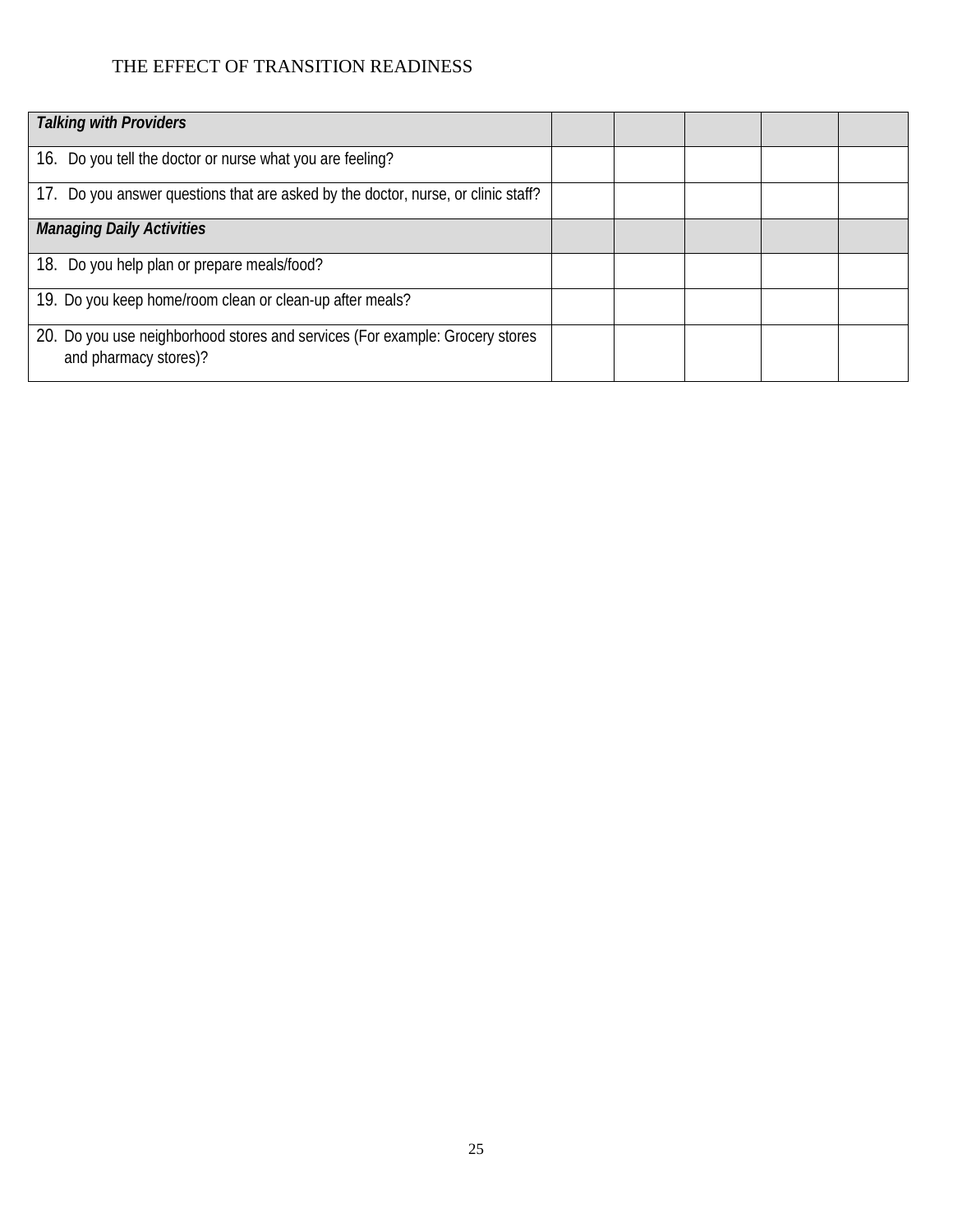| <b>Talking with Providers</b>                                                                         |  |  |  |
|-------------------------------------------------------------------------------------------------------|--|--|--|
| 16. Do you tell the doctor or nurse what you are feeling?                                             |  |  |  |
| 17. Do you answer questions that are asked by the doctor, nurse, or clinic staff?                     |  |  |  |
| <b>Managing Daily Activities</b>                                                                      |  |  |  |
| 18. Do you help plan or prepare meals/food?                                                           |  |  |  |
| 19. Do you keep home/room clean or clean-up after meals?                                              |  |  |  |
| 20. Do you use neighborhood stores and services (For example: Grocery stores<br>and pharmacy stores)? |  |  |  |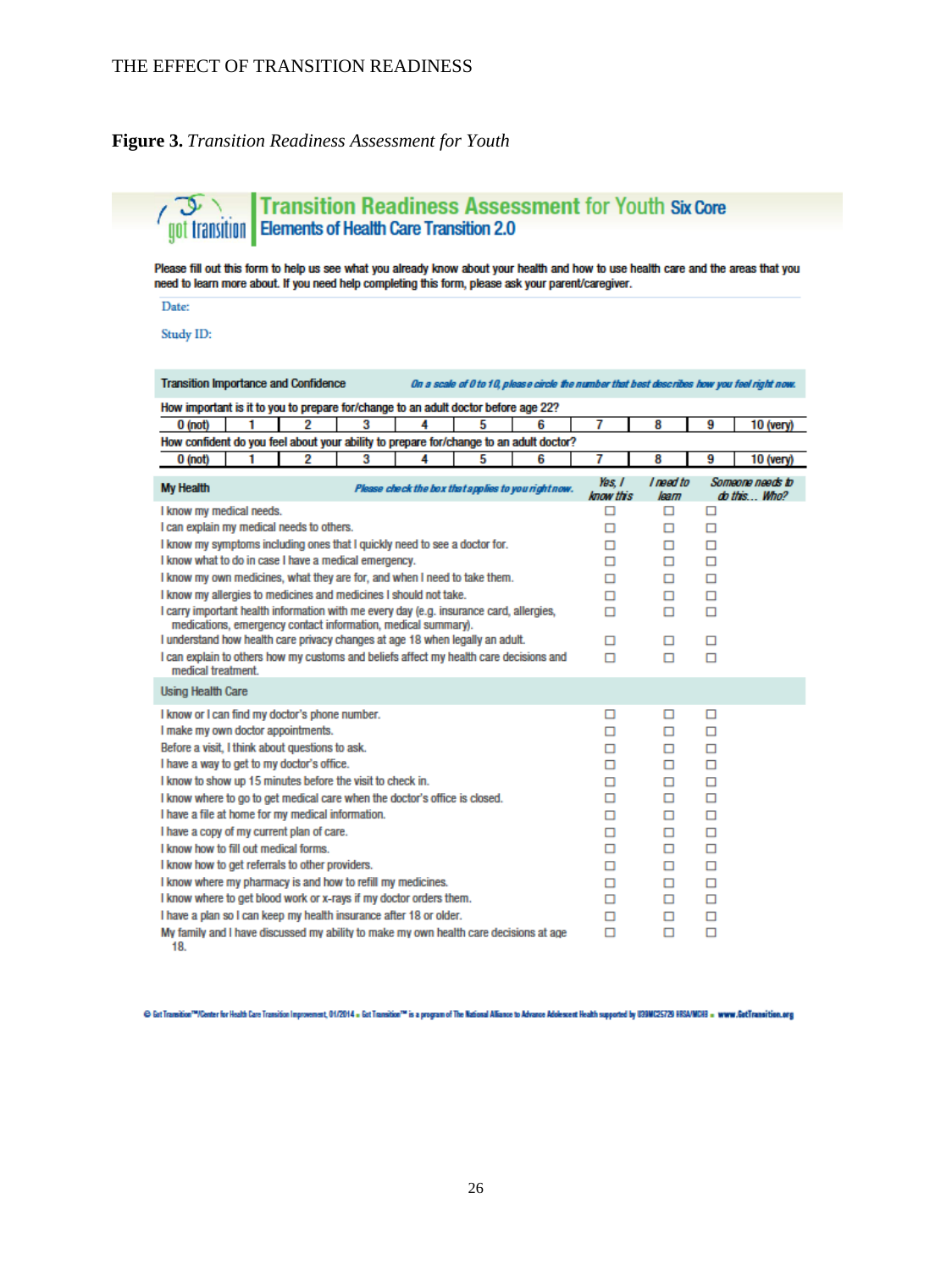#### <span id="page-32-0"></span>**Figure 3.** *Transition Readiness Assessment for Youth*

# Transition Readiness Assessment for Youth Six Core<br>got transition Elements of Health Care Transition 2.0

Please fill out this form to help us see what you already know about your health and how to use health care and the areas that you<br>need to learn more about. If you need help completing this form, please ask your parent/car

Date:

Ï

Study ID:

| <b>Transition Importance and Confidence</b><br>On a scale of 0 to 10, please circle the number that best describes how you feel right now.                                                                                                                                                                                                                                                                                                                                                                                                                                                                                                                                                                                                                                                                                                |   |   |                                                                    |                                                                    |                                                                              |                                  |  |  |  |
|-------------------------------------------------------------------------------------------------------------------------------------------------------------------------------------------------------------------------------------------------------------------------------------------------------------------------------------------------------------------------------------------------------------------------------------------------------------------------------------------------------------------------------------------------------------------------------------------------------------------------------------------------------------------------------------------------------------------------------------------------------------------------------------------------------------------------------------------|---|---|--------------------------------------------------------------------|--------------------------------------------------------------------|------------------------------------------------------------------------------|----------------------------------|--|--|--|
| How important is it to you to prepare for/change to an adult doctor before age 22?                                                                                                                                                                                                                                                                                                                                                                                                                                                                                                                                                                                                                                                                                                                                                        |   |   |                                                                    |                                                                    |                                                                              |                                  |  |  |  |
| 2<br>З<br>4<br>$0 \text{ (not)}$                                                                                                                                                                                                                                                                                                                                                                                                                                                                                                                                                                                                                                                                                                                                                                                                          | 5 | 6 | 7                                                                  | 8                                                                  | 9                                                                            | 10 (very)                        |  |  |  |
| How confident do you feel about your ability to prepare for/change to an adult doctor?                                                                                                                                                                                                                                                                                                                                                                                                                                                                                                                                                                                                                                                                                                                                                    |   |   |                                                                    |                                                                    |                                                                              |                                  |  |  |  |
| 2<br>3<br>4<br>1<br>$0 \text{ (not)}$                                                                                                                                                                                                                                                                                                                                                                                                                                                                                                                                                                                                                                                                                                                                                                                                     | 5 | 6 | 7                                                                  | 8                                                                  | 9                                                                            | 10 (very)                        |  |  |  |
| <b>My Health</b><br>Please check the box that applies to you right now.                                                                                                                                                                                                                                                                                                                                                                                                                                                                                                                                                                                                                                                                                                                                                                   |   |   | Yes. I<br>know this                                                | I need to<br>learn                                                 |                                                                              | Someone needs to<br>do this Who? |  |  |  |
| I know my medical needs.<br>I can explain my medical needs to others.<br>I know my symptoms including ones that I quickly need to see a doctor for.<br>I know what to do in case I have a medical emergency.<br>I know my own medicines, what they are for, and when I need to take them.<br>I know my allergies to medicines and medicines I should not take.<br>I carry important health information with me every day (e.g. insurance card, allergies,<br>medications, emergency contact information, medical summary).<br>I understand how health care privacy changes at age 18 when legally an adult.<br>I can explain to others how my customs and beliefs affect my health care decisions and                                                                                                                                     |   |   | ◻<br>◻<br>◻<br>□<br>⊓<br>□<br>□<br>□<br>п                          | □<br>□<br>□<br>□<br>п<br>п<br>п<br>п<br>п                          | ◻<br>□<br>◻<br>$\Box$<br>п<br>□<br>□<br>□<br>$\Box$                          |                                  |  |  |  |
| medical treatment.<br><b>Using Health Care</b>                                                                                                                                                                                                                                                                                                                                                                                                                                                                                                                                                                                                                                                                                                                                                                                            |   |   |                                                                    |                                                                    |                                                                              |                                  |  |  |  |
| I know or I can find my doctor's phone number.<br>I make my own doctor appointments.<br>Before a visit, I think about questions to ask.<br>I have a way to get to my doctor's office.<br>I know to show up 15 minutes before the visit to check in.<br>I know where to go to get medical care when the doctor's office is closed.<br>I have a file at home for my medical information.<br>I have a copy of my current plan of care.<br>I know how to fill out medical forms.<br>I know how to get referrals to other providers.<br>I know where my pharmacy is and how to refill my medicines.<br>I know where to get blood work or x-rays if my doctor orders them.<br>I have a plan so I can keep my health insurance after 18 or older.<br>My family and I have discussed my ability to make my own health care decisions at age<br>18 |   |   | ◻<br>◻<br>◻<br>□<br>◻<br>◻<br>□<br>◻<br>□<br>□<br>◻<br>□<br>□<br>◻ | ш<br>п<br>□<br>□<br>□<br>п<br>п<br>□<br>□<br>□<br>п<br>□<br>□<br>п | □<br>□<br>□<br>□<br>□<br>□<br>$\Box$<br>□<br>□<br>$\Box$<br>□<br>□<br>□<br>□ |                                  |  |  |  |

C Got Transition™/Center for Health Care Transition Improvement, 01/2014 = Got Transition™ in a program of The National Alliance to Advance Advisecent Health supported by USBN CCS720 HRSA/MCH = www.CetTransition.org